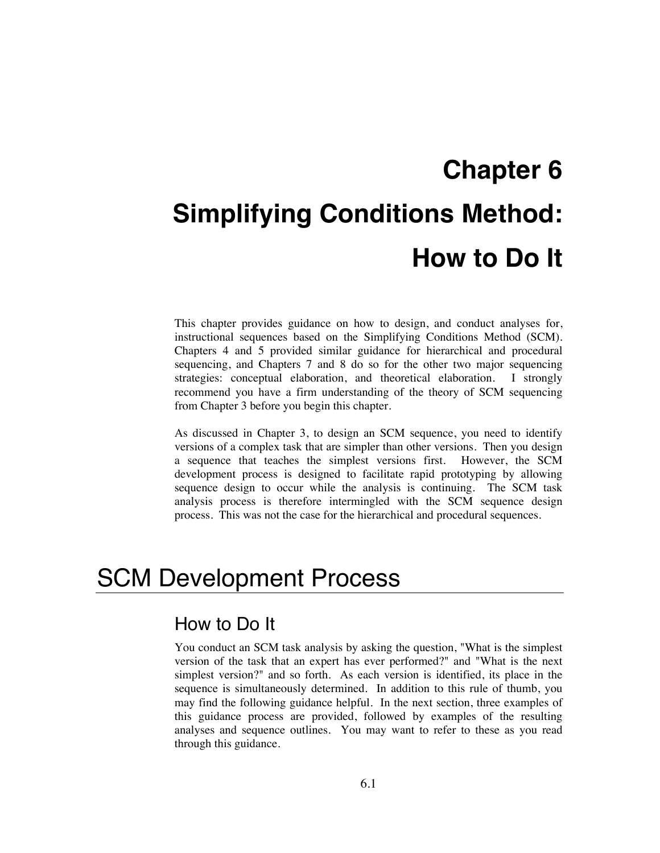# **Chapter 6 Simplifying Conditions Method: How to Do It**

This chapter provides guidance on how to design, and conduct analyses for, instructional sequences based on the Simplifying Conditions Method (SCM). Chapters 4 and 5 provided similar guidance for hierarchical and procedural sequencing, and Chapters 7 and 8 do so for the other two major sequencing strategies: conceptual elaboration, and theoretical elaboration. I strongly recommend you have a firm understanding of the theory of SCM sequencing from Chapter 3 before you begin this chapter.

As discussed in Chapter 3, to design an SCM sequence, you need to identify versions of a complex task that are simpler than other versions. Then you design a sequence that teaches the simplest versions first. However, the SCM development process is designed to facilitate rapid prototyping by allowing sequence design to occur while the analysis is continuing. The SCM task analysis process is therefore intermingled with the SCM sequence design process. This was not the case for the hierarchical and procedural sequences.

# SCM Development Process

## How to Do It

You conduct an SCM task analysis by asking the question, "What is the simplest version of the task that an expert has ever performed?" and "What is the next simplest version?" and so forth. As each version is identified, its place in the sequence is simultaneously determined. In addition to this rule of thumb, you may find the following guidance helpful. In the next section, three examples of this guidance process are provided, followed by examples of the resulting analyses and sequence outlines. You may want to refer to these as you read through this guidance.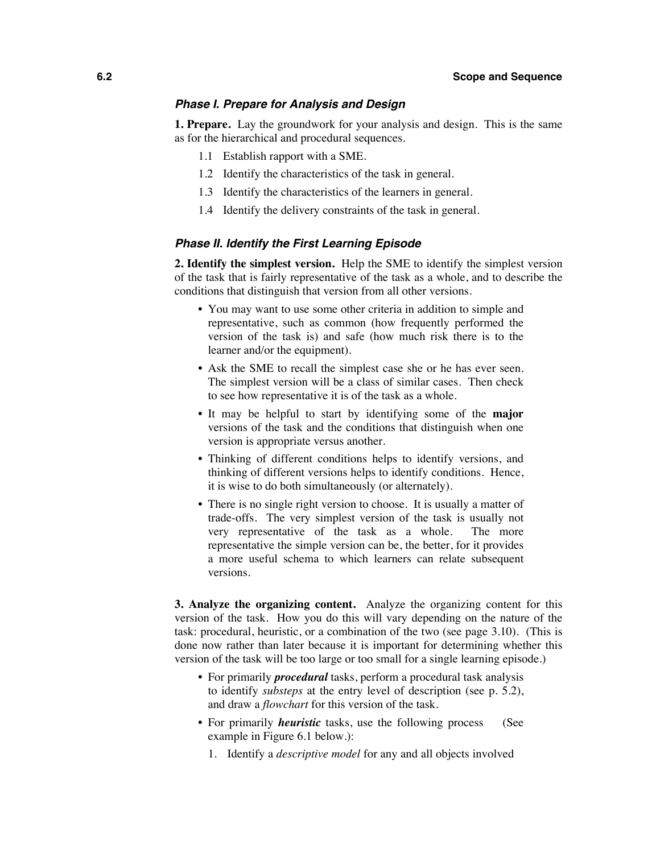#### *Phase I. Prepare for Analysis and Design*

**1. Prepare.** Lay the groundwork for your analysis and design. This is the same as for the hierarchical and procedural sequences.

- 1.1 Establish rapport with a SME.
- 1.2 Identify the characteristics of the task in general.
- 1.3 Identify the characteristics of the learners in general.
- 1.4 Identify the delivery constraints of the task in general.

#### *Phase II. Identify the First Learning Episode*

**2. Identify the simplest version.** Help the SME to identify the simplest version of the task that is fairly representative of the task as a whole, and to describe the conditions that distinguish that version from all other versions.

- You may want to use some other criteria in addition to simple and representative, such as common (how frequently performed the version of the task is) and safe (how much risk there is to the learner and/or the equipment).
- Ask the SME to recall the simplest case she or he has ever seen. The simplest version will be a class of similar cases. Then check to see how representative it is of the task as a whole.
- It may be helpful to start by identifying some of the **major**  versions of the task and the conditions that distinguish when one version is appropriate versus another.
- Thinking of different conditions helps to identify versions, and thinking of different versions helps to identify conditions. Hence, it is wise to do both simultaneously (or alternately).
- There is no single right version to choose. It is usually a matter of trade-offs. The very simplest version of the task is usually not very representative of the task as a whole. The more representative the simple version can be, the better, for it provides a more useful schema to which learners can relate subsequent versions.

**3. Analyze the organizing content.** Analyze the organizing content for this version of the task. How you do this will vary depending on the nature of the task: procedural, heuristic, or a combination of the two (see page 3.10). (This is done now rather than later because it is important for determining whether this version of the task will be too large or too small for a single learning episode.)

- For primarily *procedural* tasks, perform a procedural task analysis to identify *substeps* at the entry level of description (see p. 5.2), and draw a *flowchart* for this version of the task.
- For primarily *heuristic* tasks, use the following process (See example in Figure 6.1 below.):
	- 1. Identify a *descriptive model* for any and all objects involved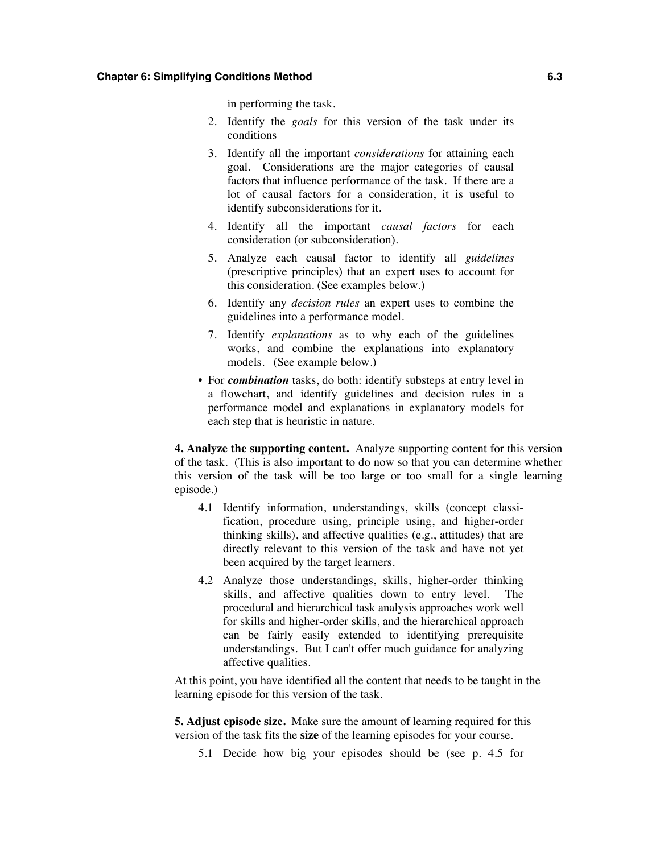in performing the task.

- 2. Identify the *goals* for this version of the task under its conditions
- 3. Identify all the important *considerations* for attaining each goal. Considerations are the major categories of causal factors that influence performance of the task. If there are a lot of causal factors for a consideration, it is useful to identify subconsiderations for it.
- 4. Identify all the important *causal factors* for each consideration (or subconsideration).
- 5. Analyze each causal factor to identify all *guidelines* (prescriptive principles) that an expert uses to account for this consideration. (See examples below.)
- 6. Identify any *decision rules* an expert uses to combine the guidelines into a performance model.
- 7. Identify *explanations* as to why each of the guidelines works, and combine the explanations into explanatory models. (See example below.)
- For *combination* tasks, do both: identify substeps at entry level in a flowchart, and identify guidelines and decision rules in a performance model and explanations in explanatory models for each step that is heuristic in nature.

**4. Analyze the supporting content.** Analyze supporting content for this version of the task. (This is also important to do now so that you can determine whether this version of the task will be too large or too small for a single learning episode.)

- 4.1 Identify information, understandings, skills (concept classification, procedure using, principle using, and higher-order thinking skills), and affective qualities (e.g., attitudes) that are directly relevant to this version of the task and have not yet been acquired by the target learners.
- 4.2 Analyze those understandings, skills, higher-order thinking skills, and affective qualities down to entry level. The procedural and hierarchical task analysis approaches work well for skills and higher-order skills, and the hierarchical approach can be fairly easily extended to identifying prerequisite understandings. But I can't offer much guidance for analyzing affective qualities.

At this point, you have identified all the content that needs to be taught in the learning episode for this version of the task.

**5. Adjust episode size.** Make sure the amount of learning required for this version of the task fits the **size** of the learning episodes for your course.

5.1 Decide how big your episodes should be (see p. 4.5 for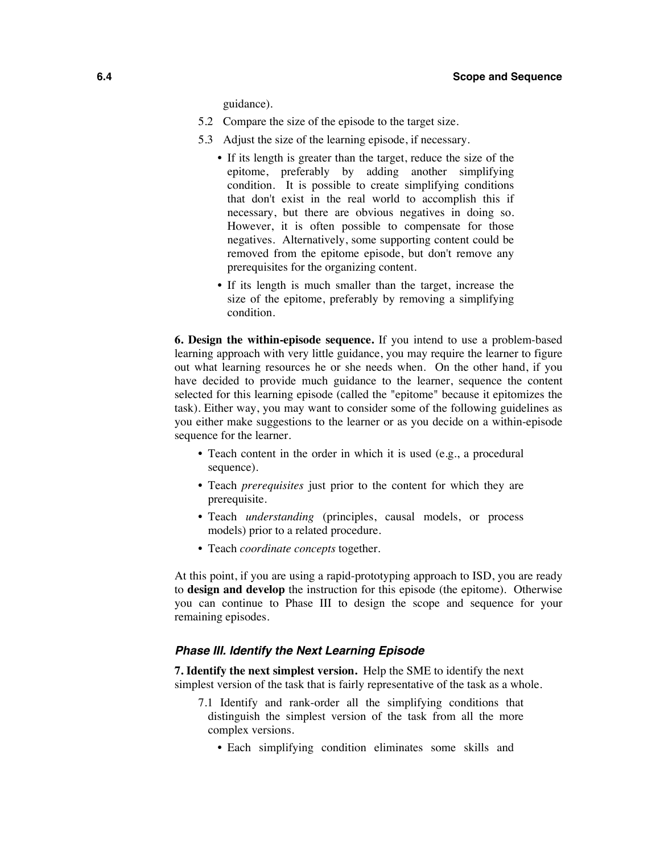guidance).

- 5.2 Compare the size of the episode to the target size.
- 5.3 Adjust the size of the learning episode, if necessary.
	- If its length is greater than the target, reduce the size of the epitome, preferably by adding another simplifying condition. It is possible to create simplifying conditions that don't exist in the real world to accomplish this if necessary, but there are obvious negatives in doing so. However, it is often possible to compensate for those negatives. Alternatively, some supporting content could be removed from the epitome episode, but don't remove any prerequisites for the organizing content.
	- If its length is much smaller than the target, increase the size of the epitome, preferably by removing a simplifying condition.

**6. Design the within-episode sequence.** If you intend to use a problem-based learning approach with very little guidance, you may require the learner to figure out what learning resources he or she needs when. On the other hand, if you have decided to provide much guidance to the learner, sequence the content selected for this learning episode (called the "epitome" because it epitomizes the task). Either way, you may want to consider some of the following guidelines as you either make suggestions to the learner or as you decide on a within-episode sequence for the learner.

- Teach content in the order in which it is used (e.g., a procedural sequence).
- Teach *prerequisites* just prior to the content for which they are prerequisite.
- Teach *understanding* (principles, causal models, or process models) prior to a related procedure.
- Teach *coordinate concepts* together.

At this point, if you are using a rapid-prototyping approach to ISD, you are ready to **design and develop** the instruction for this episode (the epitome). Otherwise you can continue to Phase III to design the scope and sequence for your remaining episodes.

#### *Phase III. Identify the Next Learning Episode*

**7. Identify the next simplest version.** Help the SME to identify the next simplest version of the task that is fairly representative of the task as a whole.

- 7.1 Identify and rank-order all the simplifying conditions that distinguish the simplest version of the task from all the more complex versions.
	- Each simplifying condition eliminates some skills and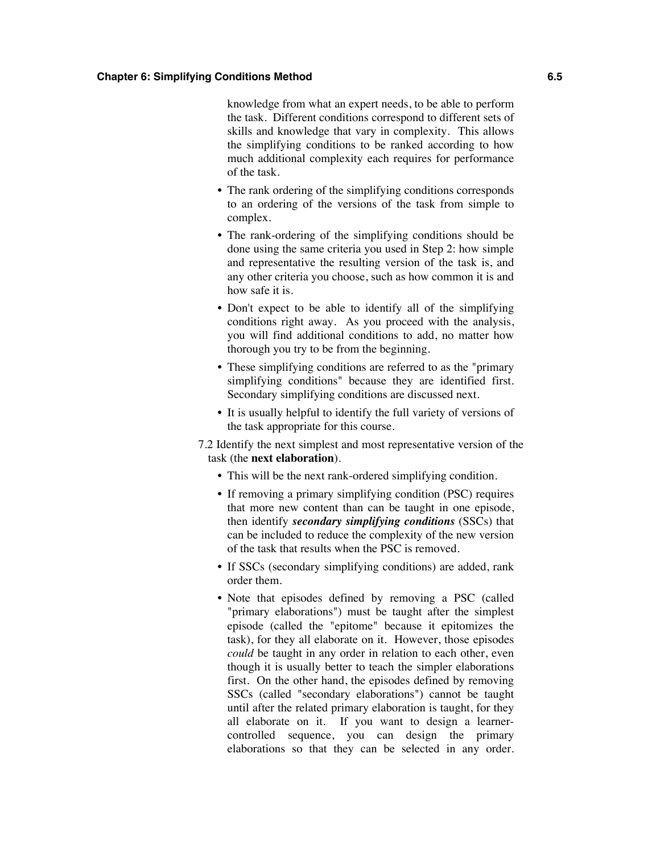knowledge from what an expert needs, to be able to perform the task. Different conditions correspond to different sets of skills and knowledge that vary in complexity. This allows the simplifying conditions to be ranked according to how much additional complexity each requires for performance of the task.

- The rank ordering of the simplifying conditions corresponds to an ordering of the versions of the task from simple to complex.
- The rank-ordering of the simplifying conditions should be done using the same criteria you used in Step 2: how simple and representative the resulting version of the task is, and any other criteria you choose, such as how common it is and how safe it is.
- Don't expect to be able to identify all of the simplifying conditions right away. As you proceed with the analysis, you will find additional conditions to add, no matter how thorough you try to be from the beginning.
- These simplifying conditions are referred to as the "primary" simplifying conditions" because they are identified first. Secondary simplifying conditions are discussed next.
- It is usually helpful to identify the full variety of versions of the task appropriate for this course.
- 7.2 Identify the next simplest and most representative version of the task (the **next elaboration**).
	- This will be the next rank-ordered simplifying condition.
	- If removing a primary simplifying condition (PSC) requires that more new content than can be taught in one episode, then identify *secondary simplifying conditions* (SSCs) that can be included to reduce the complexity of the new version of the task that results when the PSC is removed.
	- If SSCs (secondary simplifying conditions) are added, rank order them.
	- Note that episodes defined by removing a PSC (called "primary elaborations") must be taught after the simplest episode (called the "epitome" because it epitomizes the task), for they all elaborate on it. However, those episodes *could* be taught in any order in relation to each other, even though it is usually better to teach the simpler elaborations first. On the other hand, the episodes defined by removing SSCs (called "secondary elaborations") cannot be taught until after the related primary elaboration is taught, for they all elaborate on it. If you want to design a learnercontrolled sequence, you can design the primary elaborations so that they can be selected in any order.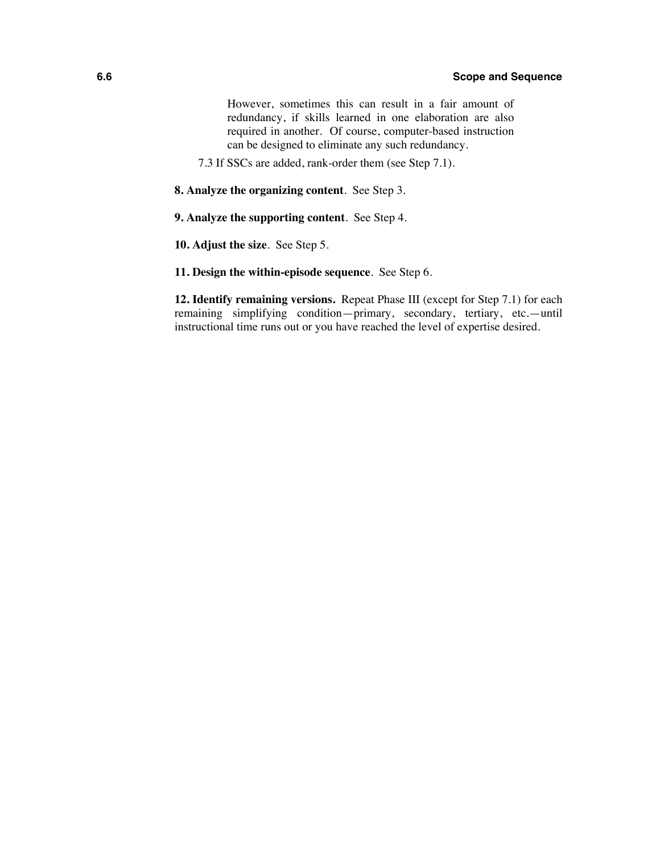However, sometimes this can result in a fair amount of redundancy, if skills learned in one elaboration are also required in another. Of course, computer-based instruction can be designed to eliminate any such redundancy.

7.3 If SSCs are added, rank-order them (see Step 7.1).

**8. Analyze the organizing content**. See Step 3.

**9. Analyze the supporting content**. See Step 4.

**10. Adjust the size**. See Step 5.

#### **11. Design the within-episode sequence**. See Step 6.

**12. Identify remaining versions.** Repeat Phase III (except for Step 7.1) for each remaining simplifying condition—primary, secondary, tertiary, etc.—until instructional time runs out or you have reached the level of expertise desired.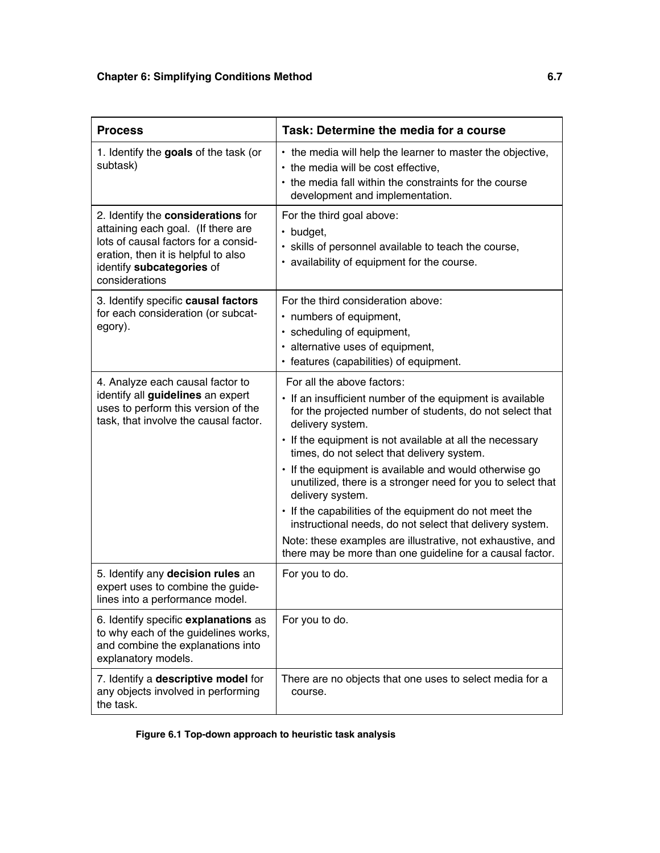| <b>Process</b>                                                                                                                                                                                         | Task: Determine the media for a course                                                                                                                                                                                                                                            |
|--------------------------------------------------------------------------------------------------------------------------------------------------------------------------------------------------------|-----------------------------------------------------------------------------------------------------------------------------------------------------------------------------------------------------------------------------------------------------------------------------------|
| 1. Identify the goals of the task (or<br>subtask)                                                                                                                                                      | • the media will help the learner to master the objective,<br>• the media will be cost effective,<br>• the media fall within the constraints for the course<br>development and implementation.                                                                                    |
| 2. Identify the considerations for<br>attaining each goal. (If there are<br>lots of causal factors for a consid-<br>eration, then it is helpful to also<br>identify subcategories of<br>considerations | For the third goal above:<br>$\cdot$ budget,<br>· skills of personnel available to teach the course,<br>• availability of equipment for the course.                                                                                                                               |
| 3. Identify specific causal factors<br>for each consideration (or subcat-<br>egory).                                                                                                                   | For the third consideration above:<br>• numbers of equipment,<br>· scheduling of equipment,<br>• alternative uses of equipment,<br>• features (capabilities) of equipment.                                                                                                        |
| 4. Analyze each causal factor to<br>identify all guidelines an expert<br>uses to perform this version of the<br>task, that involve the causal factor.                                                  | For all the above factors:<br>• If an insufficient number of the equipment is available<br>for the projected number of students, do not select that<br>delivery system.<br>• If the equipment is not available at all the necessary<br>times, do not select that delivery system. |
|                                                                                                                                                                                                        | • If the equipment is available and would otherwise go<br>unutilized, there is a stronger need for you to select that<br>delivery system.<br>• If the capabilities of the equipment do not meet the<br>instructional needs, do not select that delivery system.                   |
|                                                                                                                                                                                                        | Note: these examples are illustrative, not exhaustive, and<br>there may be more than one guideline for a causal factor.                                                                                                                                                           |
| 5. Identify any decision rules an<br>expert uses to combine the guide-<br>lines into a performance model.                                                                                              | For you to do.                                                                                                                                                                                                                                                                    |
| 6. Identify specific explanations as<br>to why each of the guidelines works,<br>and combine the explanations into<br>explanatory models.                                                               | For you to do.                                                                                                                                                                                                                                                                    |
| 7. Identify a descriptive model for<br>any objects involved in performing<br>the task.                                                                                                                 | There are no objects that one uses to select media for a<br>course.                                                                                                                                                                                                               |

**Figure 6.1 Top-down approach to heuristic task analysis**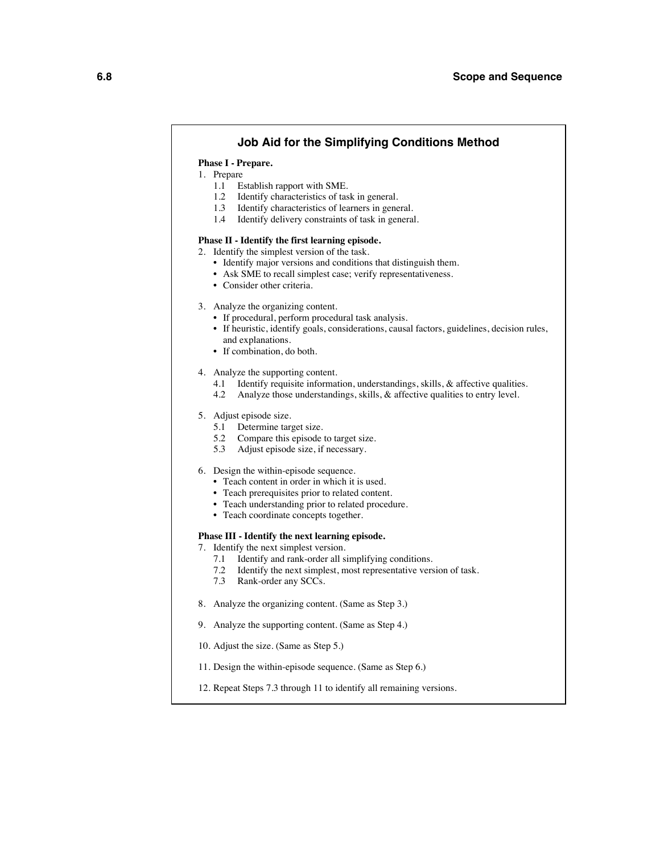#### **Job Aid for the Simplifying Conditions Method**

#### **Phase I - Prepare.**

- 1. Prepare
	- 1.1 Establish rapport with SME.
	- 1.2 Identify characteristics of task in general.
	- 1.3 Identify characteristics of learners in general.
	- 1.4 Identify delivery constraints of task in general.

#### **Phase II - Identify the first learning episode.**

- 2. Identify the simplest version of the task.
	- Identify major versions and conditions that distinguish them.
	- Ask SME to recall simplest case; verify representativeness.
	- Consider other criteria.
- 3. Analyze the organizing content.
	- If procedural, perform procedural task analysis.
	- If heuristic, identify goals, considerations, causal factors, guidelines, decision rules, and explanations.
	- If combination, do both.
- 4. Analyze the supporting content.
	- 4.1 Identify requisite information, understandings, skills, & affective qualities.
	- 4.2 Analyze those understandings, skills, & affective qualities to entry level.
- 5. Adjust episode size.
	- 5.1 Determine target size.<br>5.2 Compare this episode
	- 5.2 Compare this episode to target size.<br>5.3 Adjust episode size, if necessary.
	- Adjust episode size, if necessary.

#### 6. Design the within-episode sequence.

- Teach content in order in which it is used.
- Teach prerequisites prior to related content.
- Teach understanding prior to related procedure.
- Teach coordinate concepts together.

#### **Phase III - Identify the next learning episode.**

- 7. Identify the next simplest version.
	- 7.1 Identify and rank-order all simplifying conditions.
	- 7.2 Identify the next simplest, most representative version of task.
	- 7.3 Rank-order any SCCs.
- 8. Analyze the organizing content. (Same as Step 3.)
- 9. Analyze the supporting content. (Same as Step 4.)
- 10. Adjust the size. (Same as Step 5.)
- 11. Design the within-episode sequence. (Same as Step 6.)
- 12. Repeat Steps 7.3 through 11 to identify all remaining versions.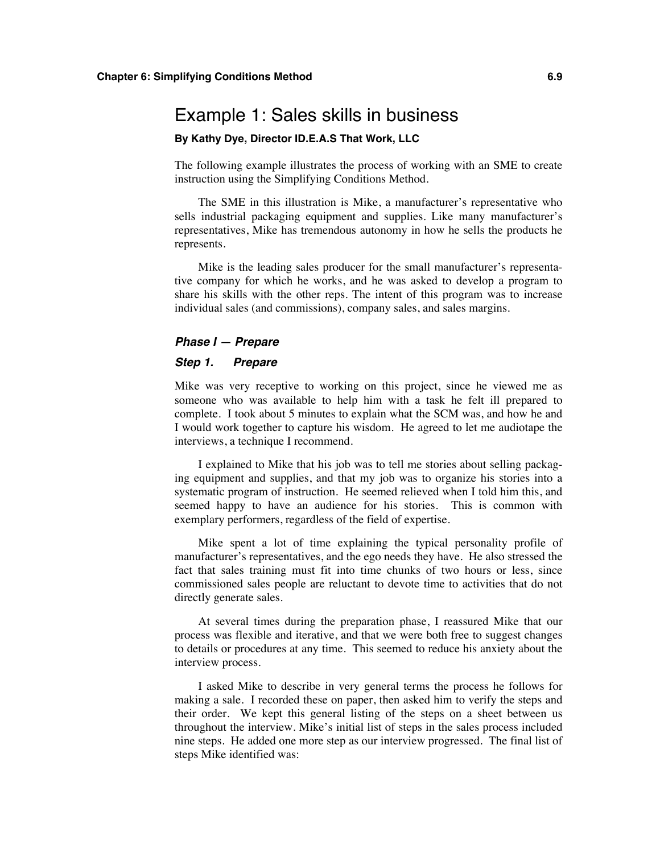### Example 1: Sales skills in business

#### **By Kathy Dye, Director ID.E.A.S That Work, LLC**

The following example illustrates the process of working with an SME to create instruction using the Simplifying Conditions Method.

The SME in this illustration is Mike, a manufacturer's representative who sells industrial packaging equipment and supplies. Like many manufacturer's representatives, Mike has tremendous autonomy in how he sells the products he represents.

Mike is the leading sales producer for the small manufacturer's representative company for which he works, and he was asked to develop a program to share his skills with the other reps. The intent of this program was to increase individual sales (and commissions), company sales, and sales margins.

#### *Phase I — Prepare*

#### *Step 1. Prepare*

Mike was very receptive to working on this project, since he viewed me as someone who was available to help him with a task he felt ill prepared to complete. I took about 5 minutes to explain what the SCM was, and how he and I would work together to capture his wisdom. He agreed to let me audiotape the interviews, a technique I recommend.

I explained to Mike that his job was to tell me stories about selling packaging equipment and supplies, and that my job was to organize his stories into a systematic program of instruction. He seemed relieved when I told him this, and seemed happy to have an audience for his stories. This is common with exemplary performers, regardless of the field of expertise.

Mike spent a lot of time explaining the typical personality profile of manufacturer's representatives, and the ego needs they have. He also stressed the fact that sales training must fit into time chunks of two hours or less, since commissioned sales people are reluctant to devote time to activities that do not directly generate sales.

At several times during the preparation phase, I reassured Mike that our process was flexible and iterative, and that we were both free to suggest changes to details or procedures at any time. This seemed to reduce his anxiety about the interview process.

I asked Mike to describe in very general terms the process he follows for making a sale. I recorded these on paper, then asked him to verify the steps and their order. We kept this general listing of the steps on a sheet between us throughout the interview. Mike's initial list of steps in the sales process included nine steps. He added one more step as our interview progressed. The final list of steps Mike identified was: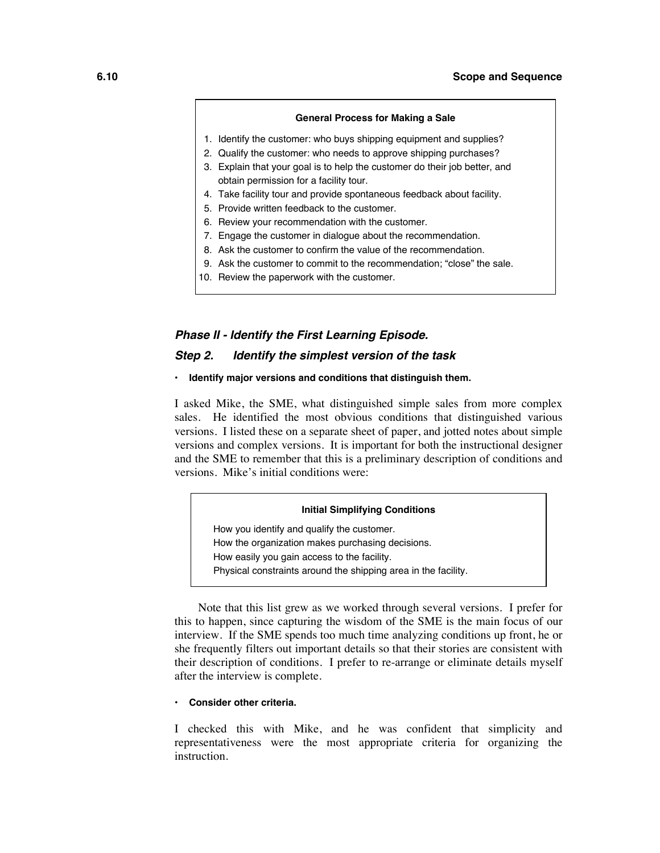#### **General Process for Making a Sale**

- 1. Identify the customer: who buys shipping equipment and supplies?
- 2. Qualify the customer: who needs to approve shipping purchases?
- 3. Explain that your goal is to help the customer do their job better, and obtain permission for a facility tour.
- 4. Take facility tour and provide spontaneous feedback about facility.
- 5. Provide written feedback to the customer.
- 6. Review your recommendation with the customer.
- 7. Engage the customer in dialogue about the recommendation.
- 8. Ask the customer to confirm the value of the recommendation.
- 9. Ask the customer to commit to the recommendation; "close" the sale.
- 10. Review the paperwork with the customer.

#### *Phase II - Identify the First Learning Episode.*

#### *Step 2. Identify the simplest version of the task*

**• Identify major versions and conditions that distinguish them.**

I asked Mike, the SME, what distinguished simple sales from more complex sales. He identified the most obvious conditions that distinguished various versions. I listed these on a separate sheet of paper, and jotted notes about simple versions and complex versions. It is important for both the instructional designer and the SME to remember that this is a preliminary description of conditions and versions. Mike's initial conditions were:

#### **Initial Simplifying Conditions**

How you identify and qualify the customer. How the organization makes purchasing decisions. How easily you gain access to the facility. Physical constraints around the shipping area in the facility.

Note that this list grew as we worked through several versions. I prefer for this to happen, since capturing the wisdom of the SME is the main focus of our interview. If the SME spends too much time analyzing conditions up front, he or she frequently filters out important details so that their stories are consistent with their description of conditions. I prefer to re-arrange or eliminate details myself after the interview is complete.

#### **• Consider other criteria.**

I checked this with Mike, and he was confident that simplicity and representativeness were the most appropriate criteria for organizing the instruction.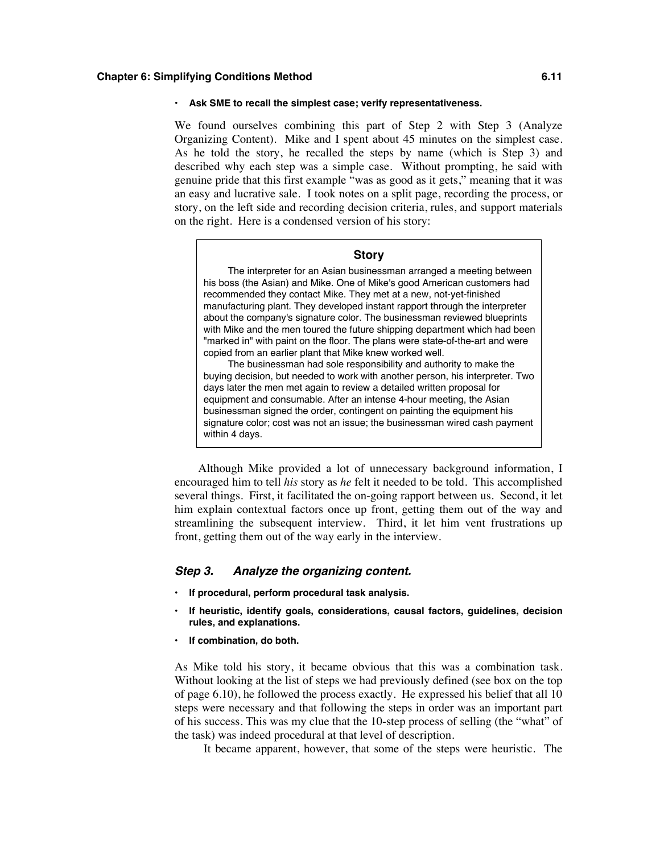#### **• Ask SME to recall the simplest case; verify representativeness.**

We found ourselves combining this part of Step 2 with Step 3 (Analyze Organizing Content). Mike and I spent about 45 minutes on the simplest case. As he told the story, he recalled the steps by name (which is Step 3) and described why each step was a simple case. Without prompting, he said with genuine pride that this first example "was as good as it gets," meaning that it was an easy and lucrative sale. I took notes on a split page, recording the process, or story, on the left side and recording decision criteria, rules, and support materials on the right. Here is a condensed version of his story:

#### **Story**

The interpreter for an Asian businessman arranged a meeting between his boss (the Asian) and Mike. One of Mike's good American customers had recommended they contact Mike. They met at a new, not-yet-finished manufacturing plant. They developed instant rapport through the interpreter about the company's signature color. The businessman reviewed blueprints with Mike and the men toured the future shipping department which had been "marked in" with paint on the floor. The plans were state-of-the-art and were copied from an earlier plant that Mike knew worked well.

The businessman had sole responsibility and authority to make the buying decision, but needed to work with another person, his interpreter. Two days later the men met again to review a detailed written proposal for equipment and consumable. After an intense 4-hour meeting, the Asian businessman signed the order, contingent on painting the equipment his signature color; cost was not an issue; the businessman wired cash payment within 4 days.

Although Mike provided a lot of unnecessary background information, I encouraged him to tell *his* story as *he* felt it needed to be told. This accomplished several things. First, it facilitated the on-going rapport between us. Second, it let him explain contextual factors once up front, getting them out of the way and streamlining the subsequent interview. Third, it let him vent frustrations up front, getting them out of the way early in the interview.

#### *Step 3. Analyze the organizing content.*

- **• If procedural, perform procedural task analysis.**
- **• If heuristic, identify goals, considerations, causal factors, guidelines, decision rules, and explanations.**
- **• If combination, do both.**

As Mike told his story, it became obvious that this was a combination task. Without looking at the list of steps we had previously defined (see box on the top of page 6.10), he followed the process exactly. He expressed his belief that all 10 steps were necessary and that following the steps in order was an important part of his success. This was my clue that the 10-step process of selling (the "what" of the task) was indeed procedural at that level of description.

It became apparent, however, that some of the steps were heuristic. The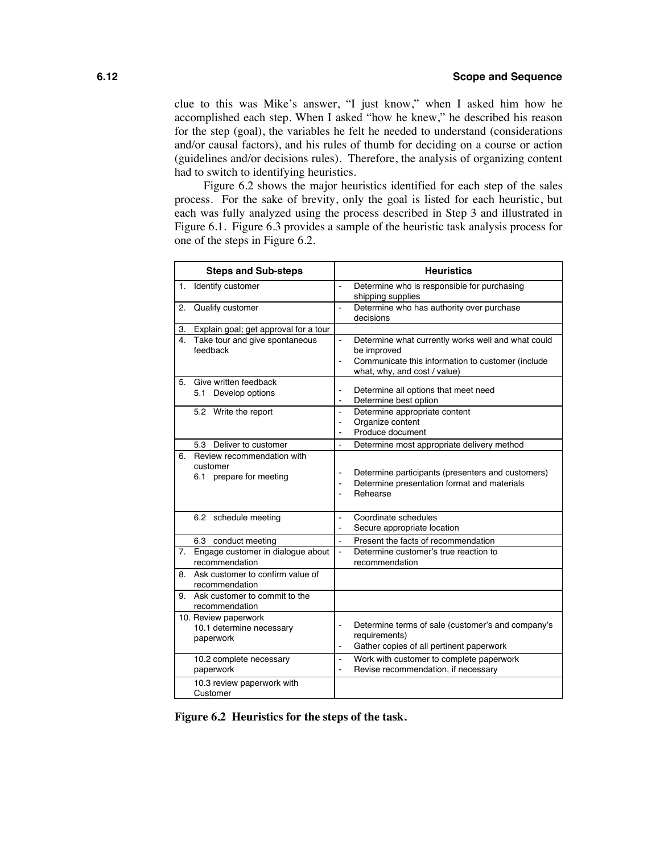clue to this was Mike's answer, "I just know," when I asked him how he accomplished each step. When I asked "how he knew," he described his reason for the step (goal), the variables he felt he needed to understand (considerations and/or causal factors), and his rules of thumb for deciding on a course or action (guidelines and/or decisions rules). Therefore, the analysis of organizing content had to switch to identifying heuristics.

Figure 6.2 shows the major heuristics identified for each step of the sales process. For the sake of brevity, only the goal is listed for each heuristic, but each was fully analyzed using the process described in Step 3 and illustrated in Figure 6.1. Figure 6.3 provides a sample of the heuristic task analysis process for one of the steps in Figure 6.2.

|    | <b>Steps and Sub-steps</b>                                        |                                                    | <b>Heuristics</b>                                                                                                                                      |
|----|-------------------------------------------------------------------|----------------------------------------------------|--------------------------------------------------------------------------------------------------------------------------------------------------------|
| 1. | Identify customer                                                 | L.                                                 | Determine who is responsible for purchasing<br>shipping supplies                                                                                       |
| 2. | Qualify customer                                                  | $\blacksquare$                                     | Determine who has authority over purchase<br>decisions                                                                                                 |
| 3. | Explain goal; get approval for a tour                             |                                                    |                                                                                                                                                        |
| 4. | Take tour and give spontaneous<br>feedback                        | $\overline{\phantom{a}}$<br>$\ddot{\phantom{1}}$   | Determine what currently works well and what could<br>be improved<br>Communicate this information to customer (include<br>what, why, and cost / value) |
| 5. | Give written feedback<br>5.1 Develop options                      | $\blacksquare$<br>$\blacksquare$                   | Determine all options that meet need<br>Determine best option                                                                                          |
|    | 5.2 Write the report                                              | $\sim$<br>$\blacksquare$<br>$\blacksquare$         | Determine appropriate content<br>Organize content<br>Produce document                                                                                  |
|    | Deliver to customer<br>5.3                                        | $\ddot{\phantom{a}}$                               | Determine most appropriate delivery method                                                                                                             |
| 6. | Review recommendation with<br>customer<br>6.1 prepare for meeting | $\blacksquare$<br>$\blacksquare$<br>$\overline{a}$ | Determine participants (presenters and customers)<br>Determine presentation format and materials<br>Rehearse                                           |
|    | 6.2 schedule meeting                                              | ä,<br>$\blacksquare$                               | Coordinate schedules<br>Secure appropriate location                                                                                                    |
|    | 6.3 conduct meeting                                               | $\overline{a}$                                     | Present the facts of recommendation                                                                                                                    |
| 7. | Engage customer in dialogue about<br>recommendation               | $\overline{\phantom{a}}$                           | Determine customer's true reaction to<br>recommendation                                                                                                |
|    | 8. Ask customer to confirm value of<br>recommendation             |                                                    |                                                                                                                                                        |
| 9. | Ask customer to commit to the<br>recommendation                   |                                                    |                                                                                                                                                        |
|    | 10. Review paperwork<br>10.1 determine necessary<br>paperwork     | $\blacksquare$<br>$\blacksquare$                   | Determine terms of sale (customer's and company's<br>requirements)<br>Gather copies of all pertinent paperwork                                         |
|    | 10.2 complete necessary<br>paperwork                              | $\blacksquare$<br>ä,                               | Work with customer to complete paperwork<br>Revise recommendation, if necessary                                                                        |
|    | 10.3 review paperwork with<br>Customer                            |                                                    |                                                                                                                                                        |

**Figure 6.2 Heuristics for the steps of the task.**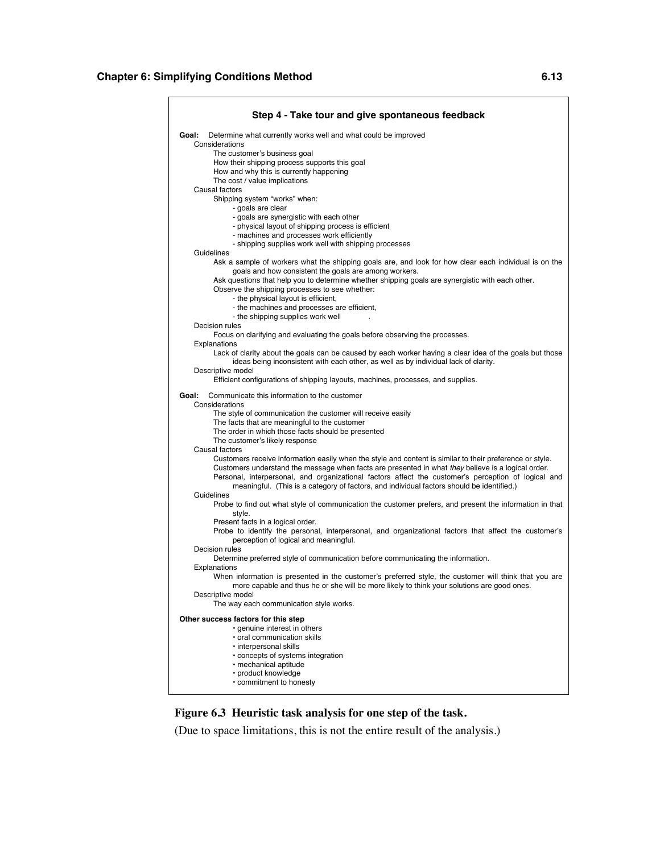| Step 4 - Take tour and give spontaneous feedback                                                                                                                                                          |
|-----------------------------------------------------------------------------------------------------------------------------------------------------------------------------------------------------------|
| Goal:<br>Determine what currently works well and what could be improved<br>Considerations                                                                                                                 |
| The customer's business goal                                                                                                                                                                              |
| How their shipping process supports this goal                                                                                                                                                             |
| How and why this is currently happening                                                                                                                                                                   |
| The cost / value implications<br>Causal factors                                                                                                                                                           |
| Shipping system "works" when:                                                                                                                                                                             |
| - goals are clear                                                                                                                                                                                         |
| - goals are synergistic with each other                                                                                                                                                                   |
| - physical layout of shipping process is efficient                                                                                                                                                        |
| - machines and processes work efficiently<br>- shipping supplies work well with shipping processes                                                                                                        |
| Guidelines                                                                                                                                                                                                |
| Ask a sample of workers what the shipping goals are, and look for how clear each individual is on the                                                                                                     |
| goals and how consistent the goals are among workers.                                                                                                                                                     |
| Ask questions that help you to determine whether shipping goals are synergistic with each other.<br>Observe the shipping processes to see whether:                                                        |
| - the physical layout is efficient,                                                                                                                                                                       |
| - the machines and processes are efficient,                                                                                                                                                               |
| - the shipping supplies work well                                                                                                                                                                         |
| Decision rules                                                                                                                                                                                            |
| Focus on clarifying and evaluating the goals before observing the processes.<br>Explanations                                                                                                              |
| Lack of clarity about the goals can be caused by each worker having a clear idea of the goals but those                                                                                                   |
| ideas being inconsistent with each other, as well as by individual lack of clarity.                                                                                                                       |
| Descriptive model                                                                                                                                                                                         |
| Efficient configurations of shipping layouts, machines, processes, and supplies.                                                                                                                          |
| Communicate this information to the customer<br>Goal:                                                                                                                                                     |
| Considerations                                                                                                                                                                                            |
| The style of communication the customer will receive easily<br>The facts that are meaningful to the customer                                                                                              |
| The order in which those facts should be presented                                                                                                                                                        |
| The customer's likely response                                                                                                                                                                            |
| Causal factors                                                                                                                                                                                            |
| Customers receive information easily when the style and content is similar to their preference or style.                                                                                                  |
| Customers understand the message when facts are presented in what they believe is a logical order.<br>Personal, interpersonal, and organizational factors affect the customer's perception of logical and |
| meaningful. (This is a category of factors, and individual factors should be identified.)                                                                                                                 |
| Guidelines                                                                                                                                                                                                |
| Probe to find out what style of communication the customer prefers, and present the information in that                                                                                                   |
| style.                                                                                                                                                                                                    |
| Present facts in a logical order.<br>Probe to identify the personal, interpersonal, and organizational factors that affect the customer's                                                                 |
| perception of logical and meaningful.                                                                                                                                                                     |
| Decision rules                                                                                                                                                                                            |
| Determine preferred style of communication before communicating the information.                                                                                                                          |
| Explanations<br>When information is presented in the customer's preferred style, the customer will think that you are                                                                                     |
| more capable and thus he or she will be more likely to think your solutions are good ones.                                                                                                                |
| Descriptive model                                                                                                                                                                                         |
| The way each communication style works.                                                                                                                                                                   |
| Other success factors for this step                                                                                                                                                                       |
| · genuine interest in others                                                                                                                                                                              |
| · oral communication skills                                                                                                                                                                               |
| · interpersonal skills<br>• concepts of systems integration                                                                                                                                               |
| · mechanical aptitude                                                                                                                                                                                     |
| • product knowledge                                                                                                                                                                                       |
| • commitment to honesty                                                                                                                                                                                   |

#### **Figure 6.3 Heuristic task analysis for one step of the task.**

(Due to space limitations, this is not the entire result of the analysis.)

 $\blacksquare$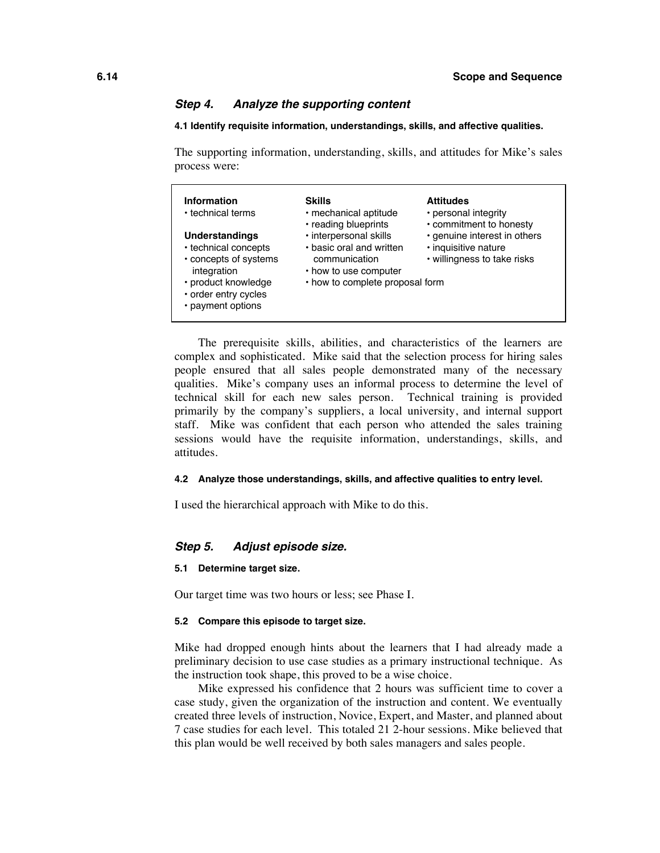#### *Step 4. Analyze the supporting content*

#### **4.1 Identify requisite information, understandings, skills, and affective qualities.**

The supporting information, understanding, skills, and attitudes for Mike's sales process were:

| Information<br>• technical terms                                                                                                                          | <b>Skills</b><br>· mechanical aptitude<br>• reading blueprints                                                                  | <b>Attitudes</b><br>• personal integrity<br>• commitment to honesty                 |
|-----------------------------------------------------------------------------------------------------------------------------------------------------------|---------------------------------------------------------------------------------------------------------------------------------|-------------------------------------------------------------------------------------|
| <b>Understandings</b><br>• technical concepts<br>• concepts of systems<br>integration<br>· product knowledge<br>• order entry cycles<br>• payment options | · interpersonal skills<br>. basic oral and written<br>communication<br>• how to use computer<br>• how to complete proposal form | · genuine interest in others<br>· inquisitive nature<br>• willingness to take risks |

The prerequisite skills, abilities, and characteristics of the learners are complex and sophisticated. Mike said that the selection process for hiring sales people ensured that all sales people demonstrated many of the necessary qualities. Mike's company uses an informal process to determine the level of technical skill for each new sales person. Technical training is provided primarily by the company's suppliers, a local university, and internal support staff. Mike was confident that each person who attended the sales training sessions would have the requisite information, understandings, skills, and attitudes.

#### **4.2 Analyze those understandings, skills, and affective qualities to entry level.**

I used the hierarchical approach with Mike to do this.

#### *Step 5. Adjust episode size.*

#### **5.1 Determine target size.**

Our target time was two hours or less; see Phase I.

#### **5.2 Compare this episode to target size.**

Mike had dropped enough hints about the learners that I had already made a preliminary decision to use case studies as a primary instructional technique. As the instruction took shape, this proved to be a wise choice.

Mike expressed his confidence that 2 hours was sufficient time to cover a case study, given the organization of the instruction and content. We eventually created three levels of instruction, Novice, Expert, and Master, and planned about 7 case studies for each level. This totaled 21 2-hour sessions. Mike believed that this plan would be well received by both sales managers and sales people.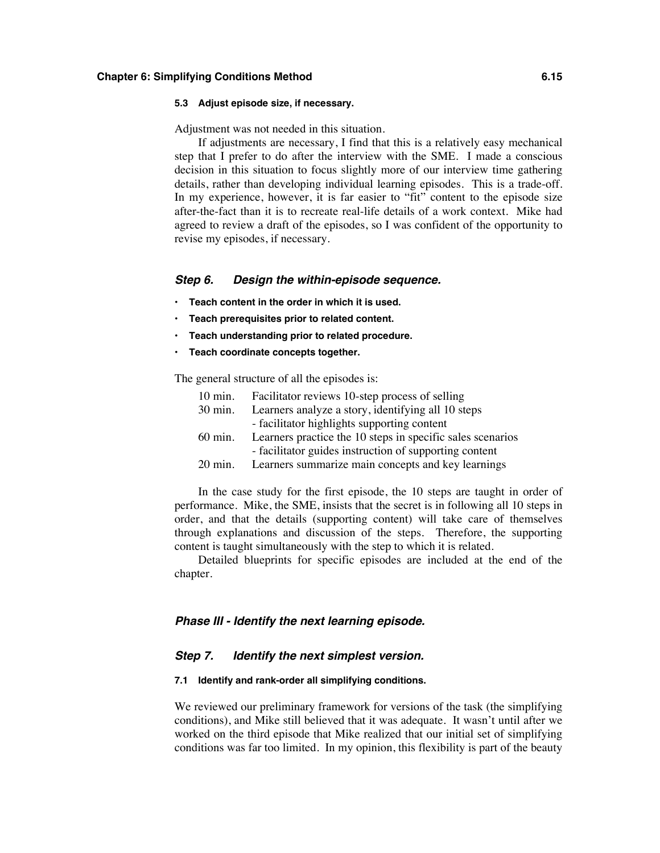#### **5.3 Adjust episode size, if necessary.**

Adjustment was not needed in this situation.

If adjustments are necessary, I find that this is a relatively easy mechanical step that I prefer to do after the interview with the SME. I made a conscious decision in this situation to focus slightly more of our interview time gathering details, rather than developing individual learning episodes. This is a trade-off. In my experience, however, it is far easier to "fit" content to the episode size after-the-fact than it is to recreate real-life details of a work context. Mike had agreed to review a draft of the episodes, so I was confident of the opportunity to revise my episodes, if necessary.

#### *Step 6. Design the within-episode sequence.*

- **• Teach content in the order in which it is used.**
- **• Teach prerequisites prior to related content.**
- **• Teach understanding prior to related procedure.**
- **• Teach coordinate concepts together.**

The general structure of all the episodes is:

| $10 \text{ min}$ . | Facilitator reviews 10-step process of selling             |
|--------------------|------------------------------------------------------------|
| $30 \text{ min}$ . | Learners analyze a story, identifying all 10 steps         |
|                    | - facilitator highlights supporting content                |
| $60 \text{ min}$ . | Learners practice the 10 steps in specific sales scenarios |
|                    | - facilitator guides instruction of supporting content     |
| $20 \text{ min}$ . | Learners summarize main concepts and key learnings         |

In the case study for the first episode, the 10 steps are taught in order of performance. Mike, the SME, insists that the secret is in following all 10 steps in order, and that the details (supporting content) will take care of themselves through explanations and discussion of the steps. Therefore, the supporting content is taught simultaneously with the step to which it is related.

Detailed blueprints for specific episodes are included at the end of the chapter.

#### *Phase III - Identify the next learning episode.*

#### *Step 7. Identify the next simplest version.*

#### **7.1 Identify and rank-order all simplifying conditions.**

We reviewed our preliminary framework for versions of the task (the simplifying conditions), and Mike still believed that it was adequate. It wasn't until after we worked on the third episode that Mike realized that our initial set of simplifying conditions was far too limited. In my opinion, this flexibility is part of the beauty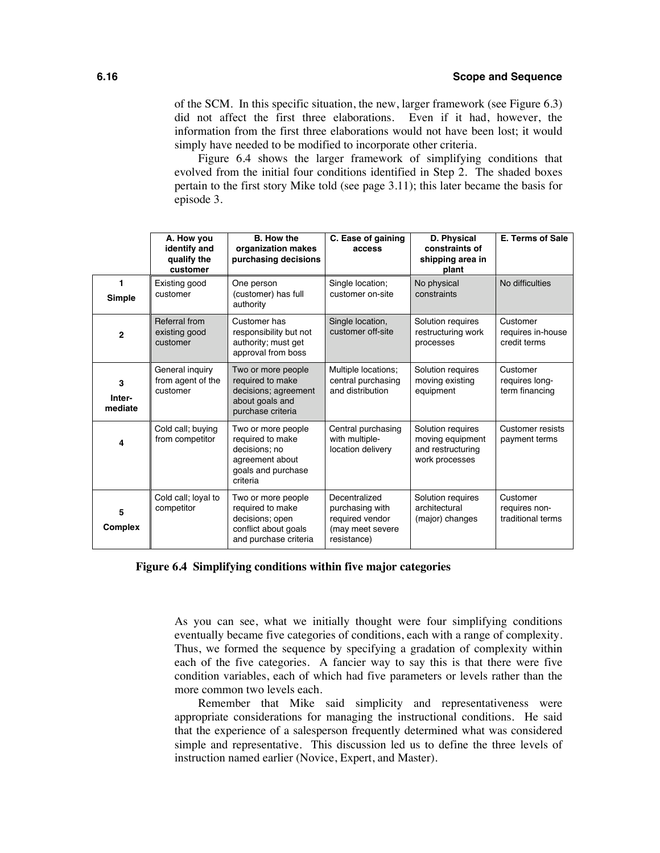of the SCM. In this specific situation, the new, larger framework (see Figure 6.3) did not affect the first three elaborations. Even if it had, however, the information from the first three elaborations would not have been lost; it would simply have needed to be modified to incorporate other criteria.

Figure 6.4 shows the larger framework of simplifying conditions that evolved from the initial four conditions identified in Step 2. The shaded boxes pertain to the first story Mike told (see page 3.11); this later became the basis for episode 3.

|                        | A. How you<br>identify and<br>qualify the<br>customer | <b>B.</b> How the<br>organization makes<br>purchasing decisions                                              | C. Ease of gaining<br>access                                                           | D. Physical<br>constraints of<br>shipping area in<br>plant                   | <b>E. Terms of Sale</b>                        |
|------------------------|-------------------------------------------------------|--------------------------------------------------------------------------------------------------------------|----------------------------------------------------------------------------------------|------------------------------------------------------------------------------|------------------------------------------------|
| 1<br>Simple            | Existing good<br>customer                             | One person<br>(customer) has full<br>authority                                                               | Single location;<br>customer on-site                                                   | No physical<br>constraints                                                   | No difficulties                                |
| $\mathbf{2}$           | Referral from<br>existing good<br>customer            | Customer has<br>responsibility but not<br>authority; must get<br>approval from boss                          | Single location,<br>customer off-site                                                  | Solution requires<br>restructuring work<br>processes                         | Customer<br>requires in-house<br>credit terms  |
| 3<br>Inter-<br>mediate | General inquiry<br>from agent of the<br>customer      | Two or more people<br>required to make<br>decisions; agreement<br>about goals and<br>purchase criteria       | Multiple locations;<br>central purchasing<br>and distribution                          | Solution requires<br>moving existing<br>equipment                            | Customer<br>requires long-<br>term financing   |
| 4                      | Cold call; buying<br>from competitor                  | Two or more people<br>required to make<br>decisions: no<br>agreement about<br>goals and purchase<br>criteria | Central purchasing<br>with multiple-<br>location delivery                              | Solution requires<br>moving equipment<br>and restructuring<br>work processes | Customer resists<br>payment terms              |
| 5<br>Complex           | Cold call; loyal to<br>competitor                     | Two or more people<br>required to make<br>decisions; open<br>conflict about goals<br>and purchase criteria   | Decentralized<br>purchasing with<br>required vendor<br>(may meet severe<br>resistance) | Solution requires<br>architectural<br>(major) changes                        | Customer<br>requires non-<br>traditional terms |

**Figure 6.4 Simplifying conditions within five major categories**

As you can see, what we initially thought were four simplifying conditions eventually became five categories of conditions, each with a range of complexity. Thus, we formed the sequence by specifying a gradation of complexity within each of the five categories. A fancier way to say this is that there were five condition variables, each of which had five parameters or levels rather than the more common two levels each.

Remember that Mike said simplicity and representativeness were appropriate considerations for managing the instructional conditions. He said that the experience of a salesperson frequently determined what was considered simple and representative. This discussion led us to define the three levels of instruction named earlier (Novice, Expert, and Master).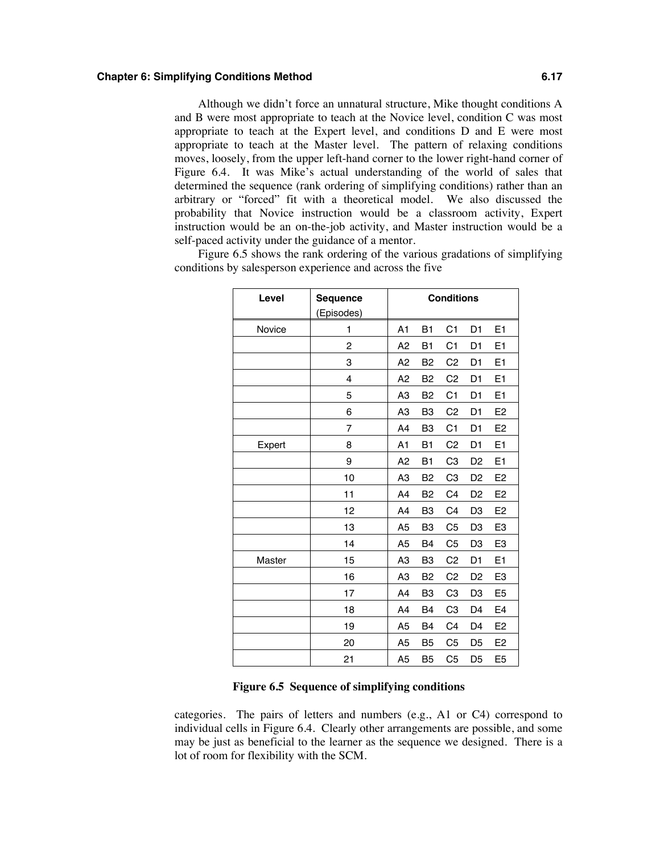Although we didn't force an unnatural structure, Mike thought conditions A and B were most appropriate to teach at the Novice level, condition C was most appropriate to teach at the Expert level, and conditions D and E were most appropriate to teach at the Master level. The pattern of relaxing conditions moves, loosely, from the upper left-hand corner to the lower right-hand corner of Figure 6.4. It was Mike's actual understanding of the world of sales that determined the sequence (rank ordering of simplifying conditions) rather than an arbitrary or "forced" fit with a theoretical model. We also discussed the probability that Novice instruction would be a classroom activity, Expert instruction would be an on-the-job activity, and Master instruction would be a self-paced activity under the guidance of a mentor.

Figure 6.5 shows the rank ordering of the various gradations of simplifying conditions by salesperson experience and across the five

| Level  | <b>Sequence</b> |                |                | <b>Conditions</b> |                |                |
|--------|-----------------|----------------|----------------|-------------------|----------------|----------------|
|        | (Episodes)      |                |                |                   |                |                |
| Novice | 1               | A <sub>1</sub> | <b>B1</b>      | C <sub>1</sub>    | D <sub>1</sub> | E1             |
|        | 2               | A <sub>2</sub> | <b>B1</b>      | C <sub>1</sub>    | D <sub>1</sub> | E <sub>1</sub> |
|        | 3               | A <sub>2</sub> | B <sub>2</sub> | C <sub>2</sub>    | D <sub>1</sub> | E <sub>1</sub> |
|        | 4               | A2             | B <sub>2</sub> | C <sub>2</sub>    | D <sub>1</sub> | E <sub>1</sub> |
|        | 5               | A <sub>3</sub> | B <sub>2</sub> | C <sub>1</sub>    | D <sub>1</sub> | E <sub>1</sub> |
|        | 6               | A3             | B <sub>3</sub> | C <sub>2</sub>    | D <sub>1</sub> | E <sub>2</sub> |
|        | 7               | A <sub>4</sub> | B <sub>3</sub> | C <sub>1</sub>    | D <sub>1</sub> | E <sub>2</sub> |
| Expert | 8               | A <sub>1</sub> | <b>B1</b>      | C <sub>2</sub>    | D <sub>1</sub> | E1             |
|        | 9               | A2             | <b>B1</b>      | C <sub>3</sub>    | D <sub>2</sub> | E1             |
|        | 10              | A <sub>3</sub> | B <sub>2</sub> | C <sub>3</sub>    | D <sub>2</sub> | E <sub>2</sub> |
|        | 11              | A <sub>4</sub> | B <sub>2</sub> | C <sub>4</sub>    | D <sub>2</sub> | E <sub>2</sub> |
|        | 12              | A4             | B <sub>3</sub> | C <sub>4</sub>    | D <sub>3</sub> | E <sub>2</sub> |
|        | 13              | A <sub>5</sub> | B <sub>3</sub> | C <sub>5</sub>    | D <sub>3</sub> | E <sub>3</sub> |
|        | 14              | A <sub>5</sub> | B <sub>4</sub> | C <sub>5</sub>    | D <sub>3</sub> | E <sub>3</sub> |
| Master | 15              | A <sub>3</sub> | B <sub>3</sub> | C <sub>2</sub>    | D <sub>1</sub> | E1             |
|        | 16              | A <sub>3</sub> | B <sub>2</sub> | C <sub>2</sub>    | D <sub>2</sub> | E <sub>3</sub> |
|        | 17              | A4             | B <sub>3</sub> | C <sub>3</sub>    | D <sub>3</sub> | E <sub>5</sub> |
|        | 18              | A <sub>4</sub> | <b>B4</b>      | C <sub>3</sub>    | D <sub>4</sub> | E <sub>4</sub> |
|        | 19              | A <sub>5</sub> | <b>B4</b>      | C <sub>4</sub>    | D <sub>4</sub> | E <sub>2</sub> |
|        | 20              | A <sub>5</sub> | B <sub>5</sub> | C <sub>5</sub>    | D <sub>5</sub> | E <sub>2</sub> |
|        | 21              | A <sub>5</sub> | B <sub>5</sub> | C <sub>5</sub>    | D <sub>5</sub> | E <sub>5</sub> |

#### **Figure 6.5 Sequence of simplifying conditions**

categories. The pairs of letters and numbers (e.g., A1 or C4) correspond to individual cells in Figure 6.4. Clearly other arrangements are possible, and some may be just as beneficial to the learner as the sequence we designed. There is a lot of room for flexibility with the SCM.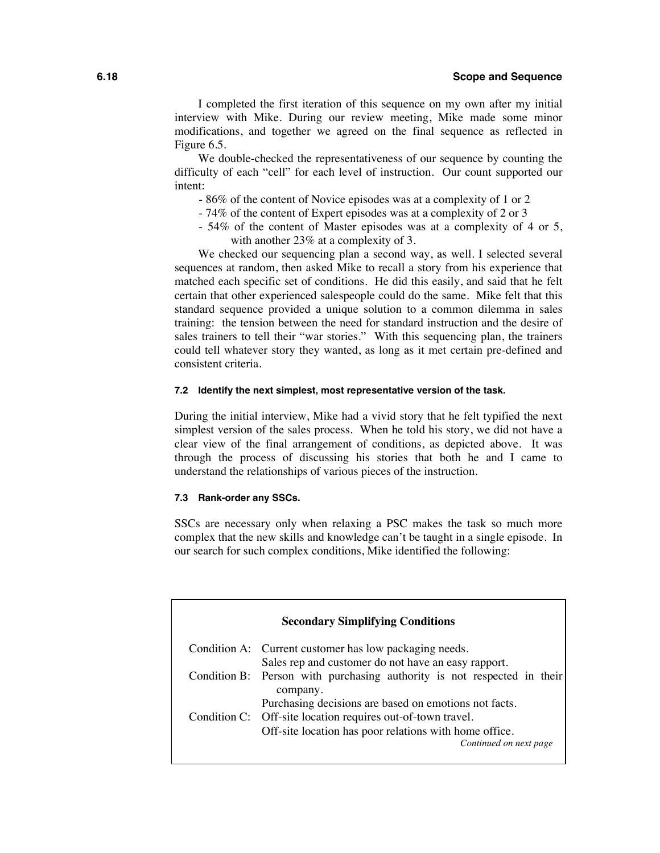I completed the first iteration of this sequence on my own after my initial interview with Mike. During our review meeting, Mike made some minor modifications, and together we agreed on the final sequence as reflected in Figure 6.5.

We double-checked the representativeness of our sequence by counting the difficulty of each "cell" for each level of instruction. Our count supported our intent:

- 86% of the content of Novice episodes was at a complexity of 1 or 2
- 74% of the content of Expert episodes was at a complexity of 2 or 3
- 54% of the content of Master episodes was at a complexity of 4 or 5, with another 23% at a complexity of 3.

We checked our sequencing plan a second way, as well. I selected several sequences at random, then asked Mike to recall a story from his experience that matched each specific set of conditions. He did this easily, and said that he felt certain that other experienced salespeople could do the same. Mike felt that this standard sequence provided a unique solution to a common dilemma in sales training: the tension between the need for standard instruction and the desire of sales trainers to tell their "war stories." With this sequencing plan, the trainers could tell whatever story they wanted, as long as it met certain pre-defined and consistent criteria.

#### **7.2 Identify the next simplest, most representative version of the task.**

During the initial interview, Mike had a vivid story that he felt typified the next simplest version of the sales process. When he told his story, we did not have a clear view of the final arrangement of conditions, as depicted above. It was through the process of discussing his stories that both he and I came to understand the relationships of various pieces of the instruction.

#### **7.3 Rank-order any SSCs.**

SSCs are necessary only when relaxing a PSC makes the task so much more complex that the new skills and knowledge can't be taught in a single episode. In our search for such complex conditions, Mike identified the following:

| <b>Secondary Simplifying Conditions</b> |                                                                                     |  |  |  |
|-----------------------------------------|-------------------------------------------------------------------------------------|--|--|--|
|                                         | Condition A: Current customer has low packaging needs.                              |  |  |  |
|                                         | Sales rep and customer do not have an easy rapport.                                 |  |  |  |
|                                         | Condition B: Person with purchasing authority is not respected in their<br>company. |  |  |  |
|                                         | Purchasing decisions are based on emotions not facts.                               |  |  |  |
|                                         | Condition C: Off-site location requires out-of-town travel.                         |  |  |  |
|                                         | Off-site location has poor relations with home office.<br>Continued on next page    |  |  |  |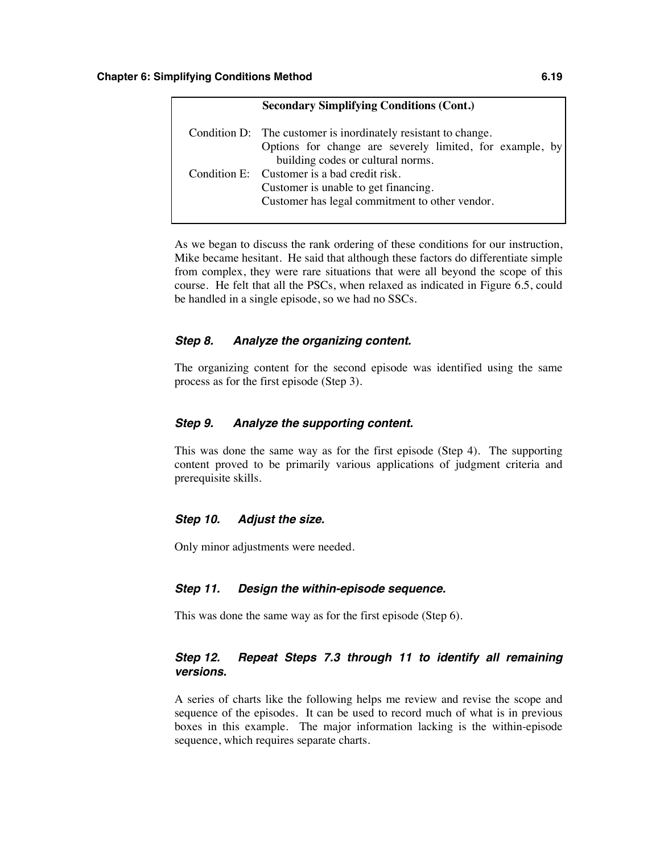| <b>Secondary Simplifying Conditions (Cont.)</b>                                                                                                                 |
|-----------------------------------------------------------------------------------------------------------------------------------------------------------------|
| Condition D: The customer is inordinately resistant to change.<br>Options for change are severely limited, for example, by<br>building codes or cultural norms. |
| Condition E: Customer is a bad credit risk.<br>Customer is unable to get financing.<br>Customer has legal commitment to other vendor.                           |

As we began to discuss the rank ordering of these conditions for our instruction, Mike became hesitant. He said that although these factors do differentiate simple from complex, they were rare situations that were all beyond the scope of this course. He felt that all the PSCs, when relaxed as indicated in Figure 6.5, could be handled in a single episode, so we had no SSCs.

#### *Step 8. Analyze the organizing content.*

The organizing content for the second episode was identified using the same process as for the first episode (Step 3).

#### *Step 9. Analyze the supporting content.*

This was done the same way as for the first episode (Step 4). The supporting content proved to be primarily various applications of judgment criteria and prerequisite skills.

#### *Step 10. Adjust the size.*

Only minor adjustments were needed.

#### *Step 11. Design the within-episode sequence.*

This was done the same way as for the first episode (Step 6).

#### *Step 12. Repeat Steps 7.3 through 11 to identify all remaining versions.*

A series of charts like the following helps me review and revise the scope and sequence of the episodes. It can be used to record much of what is in previous boxes in this example. The major information lacking is the within-episode sequence, which requires separate charts.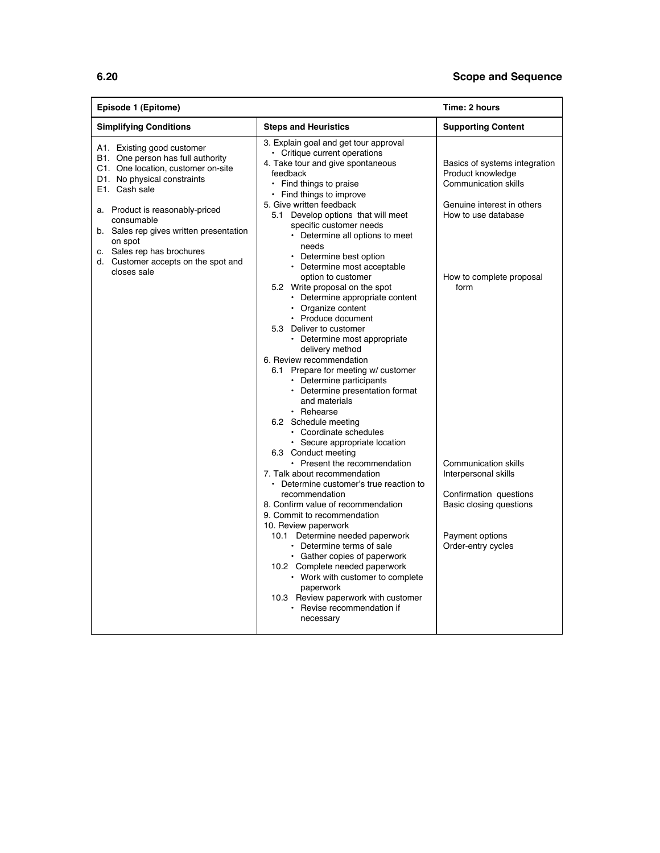#### **6.20 Scope and Sequence**

| Episode 1 (Epitome)                                                                                                                                                                                                                                                                                                                              |                                                                                                                                                                                                                                                                                                                                                                                                                                                                                                                                                                                                                                                                                                                                                                                                                                                                                                                                                                                                                                                                                                                                                                                                                                                                                                                                                                                        | Time: 2 hours                                                                                                                                                                                                                                                                                                                   |
|--------------------------------------------------------------------------------------------------------------------------------------------------------------------------------------------------------------------------------------------------------------------------------------------------------------------------------------------------|----------------------------------------------------------------------------------------------------------------------------------------------------------------------------------------------------------------------------------------------------------------------------------------------------------------------------------------------------------------------------------------------------------------------------------------------------------------------------------------------------------------------------------------------------------------------------------------------------------------------------------------------------------------------------------------------------------------------------------------------------------------------------------------------------------------------------------------------------------------------------------------------------------------------------------------------------------------------------------------------------------------------------------------------------------------------------------------------------------------------------------------------------------------------------------------------------------------------------------------------------------------------------------------------------------------------------------------------------------------------------------------|---------------------------------------------------------------------------------------------------------------------------------------------------------------------------------------------------------------------------------------------------------------------------------------------------------------------------------|
| <b>Simplifying Conditions</b>                                                                                                                                                                                                                                                                                                                    | <b>Steps and Heuristics</b>                                                                                                                                                                                                                                                                                                                                                                                                                                                                                                                                                                                                                                                                                                                                                                                                                                                                                                                                                                                                                                                                                                                                                                                                                                                                                                                                                            | <b>Supporting Content</b>                                                                                                                                                                                                                                                                                                       |
| A1. Existing good customer<br>B1. One person has full authority<br>C1. One location, customer on-site<br>D1. No physical constraints<br>E1. Cash sale<br>a. Product is reasonably-priced<br>consumable<br>b. Sales rep gives written presentation<br>on spot<br>c. Sales rep has brochures<br>d. Customer accepts on the spot and<br>closes sale | 3. Explain goal and get tour approval<br>• Critique current operations<br>4. Take tour and give spontaneous<br>feedback<br>• Find things to praise<br>• Find things to improve<br>5. Give written feedback<br>5.1 Develop options that will meet<br>specific customer needs<br>• Determine all options to meet<br>needs<br>• Determine best option<br>• Determine most acceptable<br>option to customer<br>5.2 Write proposal on the spot<br>• Determine appropriate content<br>• Organize content<br>• Produce document<br>5.3 Deliver to customer<br>• Determine most appropriate<br>delivery method<br>6. Review recommendation<br>6.1 Prepare for meeting w/ customer<br>• Determine participants<br>• Determine presentation format<br>and materials<br>$\cdot$ Rehearse<br>6.2 Schedule meeting<br>• Coordinate schedules<br>• Secure appropriate location<br>6.3 Conduct meeting<br>• Present the recommendation<br>7. Talk about recommendation<br>• Determine customer's true reaction to<br>recommendation<br>8. Confirm value of recommendation<br>9. Commit to recommendation<br>10. Review paperwork<br>10.1 Determine needed paperwork<br>• Determine terms of sale<br>• Gather copies of paperwork<br>10.2 Complete needed paperwork<br>• Work with customer to complete<br>paperwork<br>10.3 Review paperwork with customer<br>• Revise recommendation if<br>necessary | Basics of systems integration<br>Product knowledge<br><b>Communication skills</b><br>Genuine interest in others<br>How to use database<br>How to complete proposal<br>form<br><b>Communication skills</b><br>Interpersonal skills<br>Confirmation questions<br>Basic closing questions<br>Payment options<br>Order-entry cycles |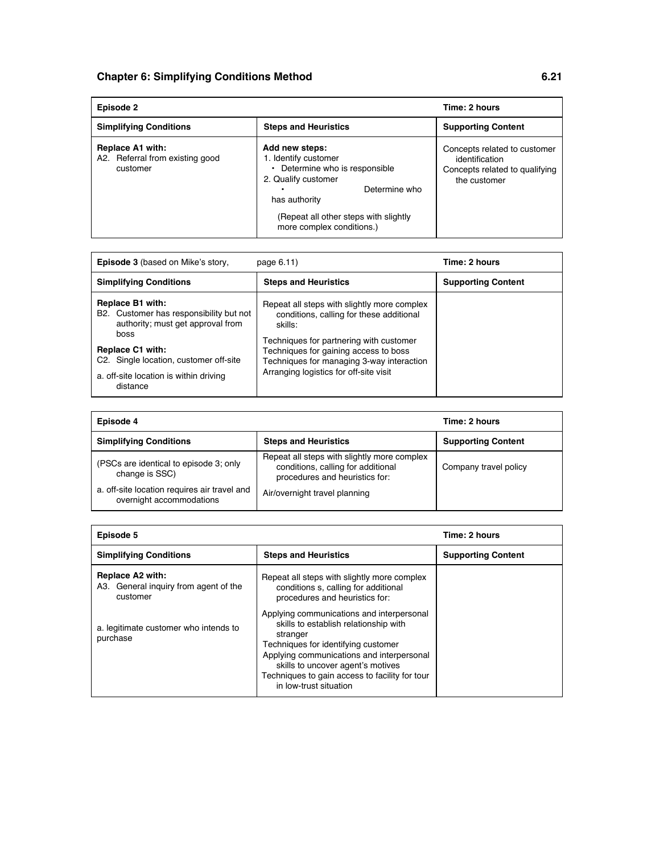| Episode 2                                                       | Time: 2 hours                                                                                                                                                                                           |                                                                                                  |
|-----------------------------------------------------------------|---------------------------------------------------------------------------------------------------------------------------------------------------------------------------------------------------------|--------------------------------------------------------------------------------------------------|
| <b>Simplifying Conditions</b>                                   | <b>Steps and Heuristics</b>                                                                                                                                                                             | <b>Supporting Content</b>                                                                        |
| Replace A1 with:<br>A2. Referral from existing good<br>customer | Add new steps:<br>1. Identify customer<br>• Determine who is responsible<br>2. Qualify customer<br>Determine who<br>has authority<br>(Repeat all other steps with slightly<br>more complex conditions.) | Concepts related to customer<br>identification<br>Concepts related to qualifying<br>the customer |

| <b>Episode 3</b> (based on Mike's story,                                                                                                                                                                                            | page 6.11)                                                                                                                                                                                                                                                                    | Time: 2 hours             |
|-------------------------------------------------------------------------------------------------------------------------------------------------------------------------------------------------------------------------------------|-------------------------------------------------------------------------------------------------------------------------------------------------------------------------------------------------------------------------------------------------------------------------------|---------------------------|
| <b>Simplifying Conditions</b>                                                                                                                                                                                                       | <b>Steps and Heuristics</b>                                                                                                                                                                                                                                                   | <b>Supporting Content</b> |
| Replace B1 with:<br>B2. Customer has responsibility but not<br>authority; must get approval from<br>boss<br><b>Replace C1 with:</b><br>C2. Single location, customer off-site<br>a. off-site location is within driving<br>distance | Repeat all steps with slightly more complex<br>conditions, calling for these additional<br>skills:<br>Techniques for partnering with customer<br>Techniques for gaining access to boss<br>Techniques for managing 3-way interaction<br>Arranging logistics for off-site visit |                           |

| Episode 4                                                                |                                                                                                                     | Time: 2 hours             |
|--------------------------------------------------------------------------|---------------------------------------------------------------------------------------------------------------------|---------------------------|
| <b>Simplifying Conditions</b>                                            | <b>Steps and Heuristics</b>                                                                                         | <b>Supporting Content</b> |
| (PSCs are identical to episode 3; only<br>change is SSC)                 | Repeat all steps with slightly more complex<br>conditions, calling for additional<br>procedures and heuristics for: | Company travel policy     |
| a. off-site location requires air travel and<br>overnight accommodations | Air/overnight travel planning                                                                                       |                           |

| Episode 5                                                             |                                                                                                                                                                                                                                                                                                     | Time: 2 hours             |
|-----------------------------------------------------------------------|-----------------------------------------------------------------------------------------------------------------------------------------------------------------------------------------------------------------------------------------------------------------------------------------------------|---------------------------|
| <b>Simplifying Conditions</b>                                         | <b>Steps and Heuristics</b>                                                                                                                                                                                                                                                                         | <b>Supporting Content</b> |
| Replace A2 with:<br>A3. General inquiry from agent of the<br>customer | Repeat all steps with slightly more complex<br>conditions s, calling for additional<br>procedures and heuristics for:                                                                                                                                                                               |                           |
| a. legitimate customer who intends to<br>purchase                     | Applying communications and interpersonal<br>skills to establish relationship with<br>stranger<br>Techniques for identifying customer<br>Applying communications and interpersonal<br>skills to uncover agent's motives<br>Techniques to gain access to facility for tour<br>in low-trust situation |                           |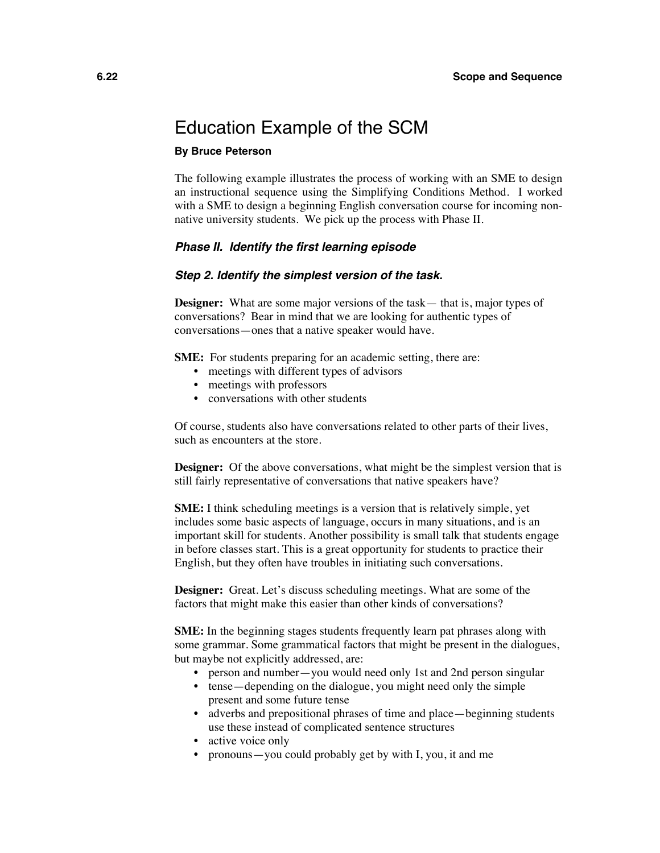### Education Example of the SCM

#### **By Bruce Peterson**

The following example illustrates the process of working with an SME to design an instructional sequence using the Simplifying Conditions Method. I worked with a SME to design a beginning English conversation course for incoming nonnative university students. We pick up the process with Phase II.

#### *Phase II. Identify the first learning episode*

#### *Step 2. Identify the simplest version of the task.*

**Designer:** What are some major versions of the task— that is, major types of conversations? Bear in mind that we are looking for authentic types of conversations—ones that a native speaker would have.

**SME:** For students preparing for an academic setting, there are:

- meetings with different types of advisors
- meetings with professors
- conversations with other students

Of course, students also have conversations related to other parts of their lives, such as encounters at the store.

**Designer:** Of the above conversations, what might be the simplest version that is still fairly representative of conversations that native speakers have?

**SME:** I think scheduling meetings is a version that is relatively simple, yet includes some basic aspects of language, occurs in many situations, and is an important skill for students. Another possibility is small talk that students engage in before classes start. This is a great opportunity for students to practice their English, but they often have troubles in initiating such conversations.

**Designer:** Great. Let's discuss scheduling meetings. What are some of the factors that might make this easier than other kinds of conversations?

**SME:** In the beginning stages students frequently learn pat phrases along with some grammar. Some grammatical factors that might be present in the dialogues, but maybe not explicitly addressed, are:

- person and number—you would need only 1st and 2nd person singular
- tense—depending on the dialogue, you might need only the simple present and some future tense
- adverbs and prepositional phrases of time and place—beginning students use these instead of complicated sentence structures
- active voice only
- pronouns—you could probably get by with I, you, it and me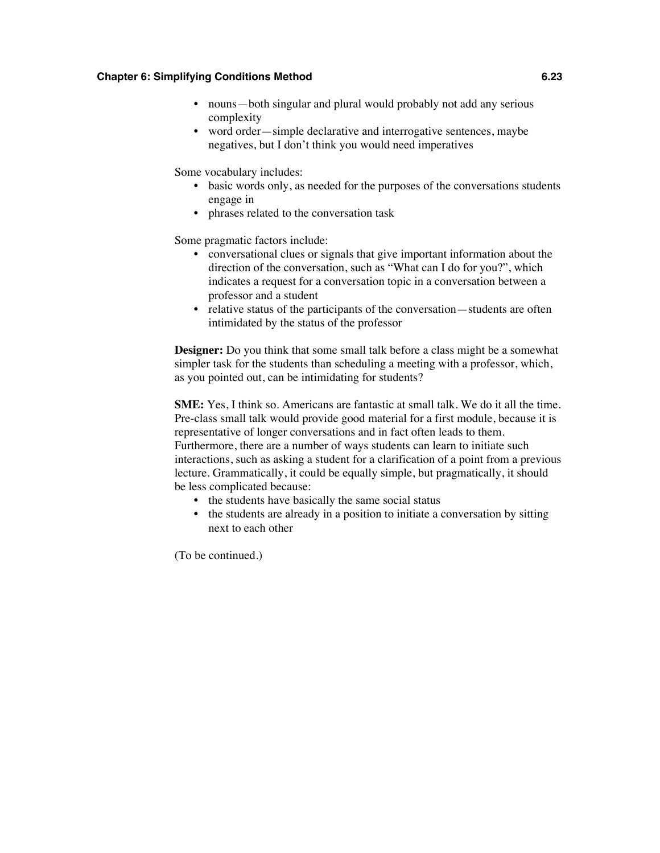- nouns—both singular and plural would probably not add any serious complexity
- word order—simple declarative and interrogative sentences, maybe negatives, but I don't think you would need imperatives

Some vocabulary includes:

- basic words only, as needed for the purposes of the conversations students engage in
- phrases related to the conversation task

Some pragmatic factors include:

- conversational clues or signals that give important information about the direction of the conversation, such as "What can I do for you?", which indicates a request for a conversation topic in a conversation between a professor and a student
- relative status of the participants of the conversation—students are often intimidated by the status of the professor

**Designer:** Do you think that some small talk before a class might be a somewhat simpler task for the students than scheduling a meeting with a professor, which, as you pointed out, can be intimidating for students?

**SME:** Yes, I think so. Americans are fantastic at small talk. We do it all the time. Pre-class small talk would provide good material for a first module, because it is representative of longer conversations and in fact often leads to them. Furthermore, there are a number of ways students can learn to initiate such interactions, such as asking a student for a clarification of a point from a previous lecture. Grammatically, it could be equally simple, but pragmatically, it should be less complicated because:

- the students have basically the same social status
- the students are already in a position to initiate a conversation by sitting next to each other

(To be continued.)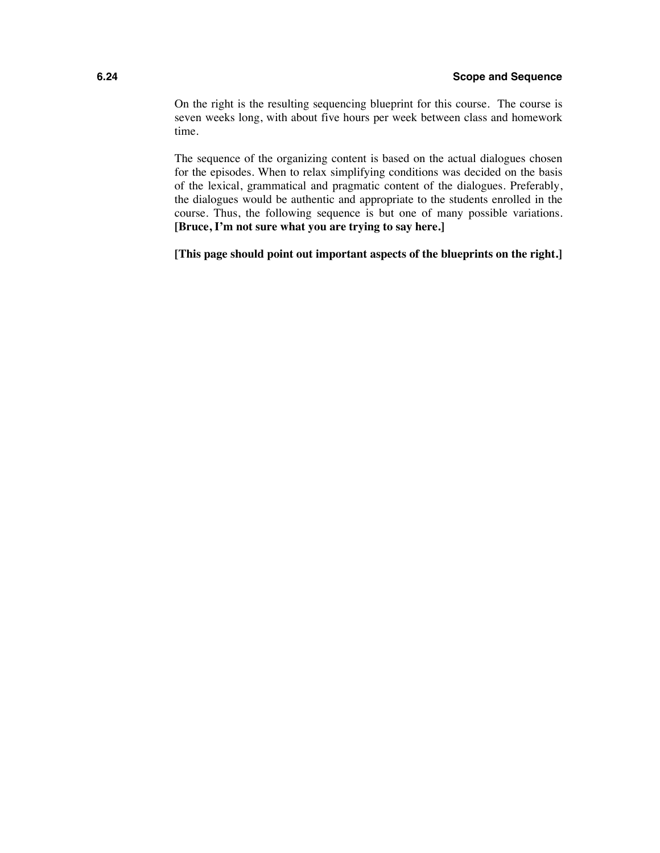#### **6.24 Scope and Sequence**

On the right is the resulting sequencing blueprint for this course. The course is seven weeks long, with about five hours per week between class and homework time.

The sequence of the organizing content is based on the actual dialogues chosen for the episodes. When to relax simplifying conditions was decided on the basis of the lexical, grammatical and pragmatic content of the dialogues. Preferably, the dialogues would be authentic and appropriate to the students enrolled in the course. Thus, the following sequence is but one of many possible variations. **[Bruce, I'm not sure what you are trying to say here.]**

**[This page should point out important aspects of the blueprints on the right.]**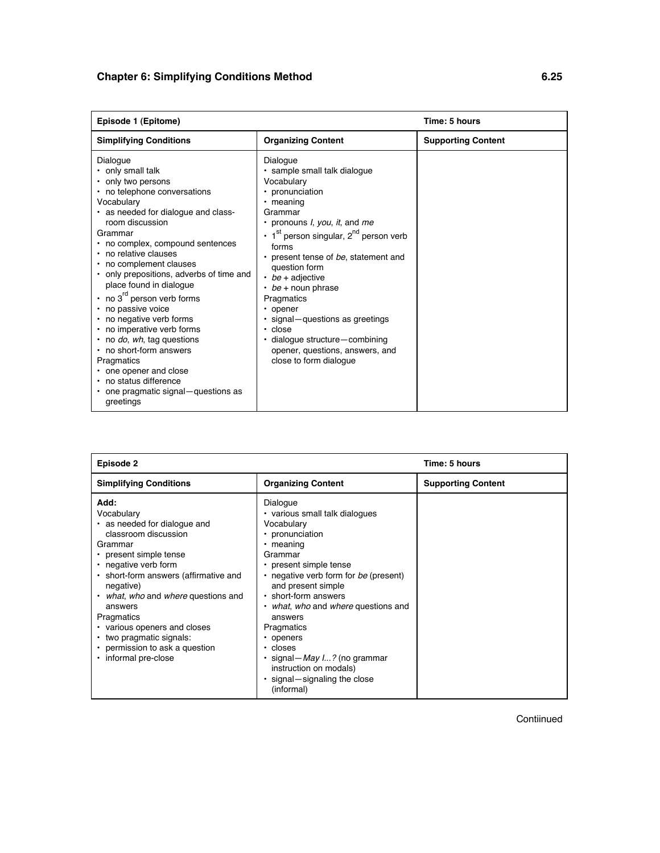| Episode 1 (Epitome)                                                                                                                                                                                                                                                                                                                                                                                                                                                                                                                                                                                                                    |                                                                                                                                                                                                                                                                                                                                                                                                                                                                                                                                       | Time: 5 hours             |
|----------------------------------------------------------------------------------------------------------------------------------------------------------------------------------------------------------------------------------------------------------------------------------------------------------------------------------------------------------------------------------------------------------------------------------------------------------------------------------------------------------------------------------------------------------------------------------------------------------------------------------------|---------------------------------------------------------------------------------------------------------------------------------------------------------------------------------------------------------------------------------------------------------------------------------------------------------------------------------------------------------------------------------------------------------------------------------------------------------------------------------------------------------------------------------------|---------------------------|
| <b>Simplifying Conditions</b>                                                                                                                                                                                                                                                                                                                                                                                                                                                                                                                                                                                                          | <b>Organizing Content</b>                                                                                                                                                                                                                                                                                                                                                                                                                                                                                                             | <b>Supporting Content</b> |
| Dialogue<br>• only small talk<br>only two persons<br>no telephone conversations<br>Vocabulary<br>as needed for dialogue and class-<br>room discussion<br>Grammar<br>no complex, compound sentences<br>no relative clauses<br>no complement clauses<br>• only prepositions, adverbs of time and<br>place found in dialogue<br>$\cdot$ no 3 <sup>rd</sup> person verb forms<br>• no passive voice<br>• no negative verb forms<br>• no imperative verb forms<br>• no do, wh, tag questions<br>• no short-form answers<br>Pragmatics<br>• one opener and close<br>• no status difference<br>one pragmatic signal-questions as<br>greetings | Dialogue<br>· sample small talk dialoque<br>Vocabulary<br>• pronunciation<br>$\cdot$ meaning<br>Grammar<br>• pronouns <i>I</i> , you, it, and me<br>$\cdot$ 1 <sup>st</sup> person singular, 2 <sup>nd</sup> person verb<br>forms<br>• present tense of be, statement and<br>question form<br>$\cdot$ be + adjective<br>$\cdot$ be + noun phrase<br>Pragmatics<br>$\cdot$ opener<br>· signal – questions as greetings<br>$\cdot$ close<br>· dialogue structure-combining<br>opener, questions, answers, and<br>close to form dialogue |                           |

| Episode 2                                                                                                                                                                                                                                                                                                                                                                                                 |                                                                                                                                                                                                                                                                                                                                                                                                                                                    | Time: 5 hours             |
|-----------------------------------------------------------------------------------------------------------------------------------------------------------------------------------------------------------------------------------------------------------------------------------------------------------------------------------------------------------------------------------------------------------|----------------------------------------------------------------------------------------------------------------------------------------------------------------------------------------------------------------------------------------------------------------------------------------------------------------------------------------------------------------------------------------------------------------------------------------------------|---------------------------|
| <b>Simplifying Conditions</b>                                                                                                                                                                                                                                                                                                                                                                             | <b>Organizing Content</b>                                                                                                                                                                                                                                                                                                                                                                                                                          | <b>Supporting Content</b> |
| Add:<br>Vocabulary<br>• as needed for dialogue and<br>classroom discussion<br>Grammar<br>• present simple tense<br>• negative verb form<br>• short-form answers (affirmative and<br>negative)<br>• what, who and where questions and<br>answers<br>Pragmatics<br>• various openers and closes<br>two pragmatic signals:<br>$\bullet$<br>• permission to ask a question<br>informal pre-close<br>$\bullet$ | Dialogue<br>• various small talk dialogues<br>Vocabulary<br>• pronunciation<br>meaning<br>٠<br>Grammar<br>• present simple tense<br>• negative verb form for be (present)<br>and present simple<br>• short-form answers<br>what, who and where questions and<br>٠<br>answers<br>Pragmatics<br>openers<br>٠<br>$\cdot$ closes<br>$\cdot$ signal - <i>May 1?</i> (no grammar<br>instruction on modals)<br>· signal-signaling the close<br>(informal) |                           |

Contiinued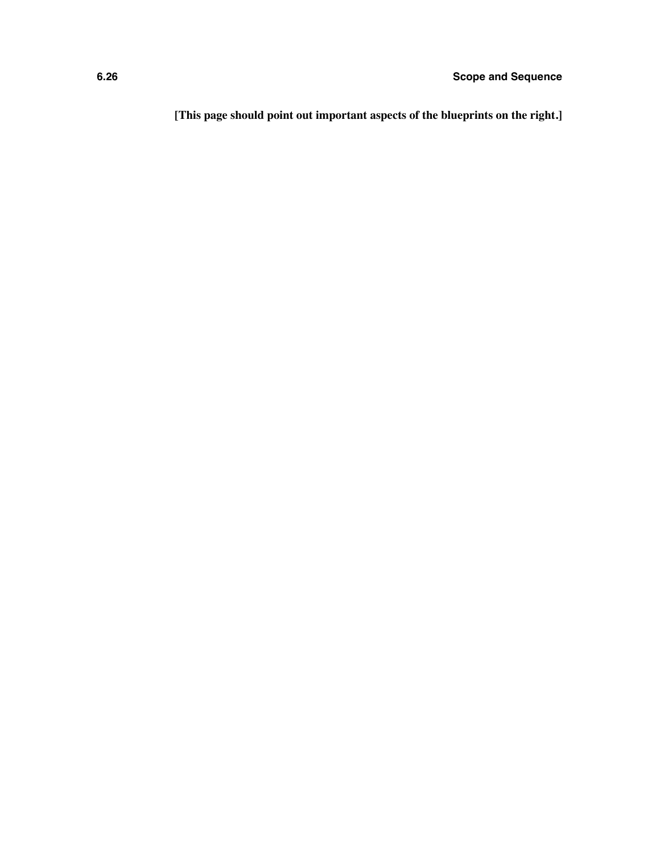**[This page should point out important aspects of the blueprints on the right.]**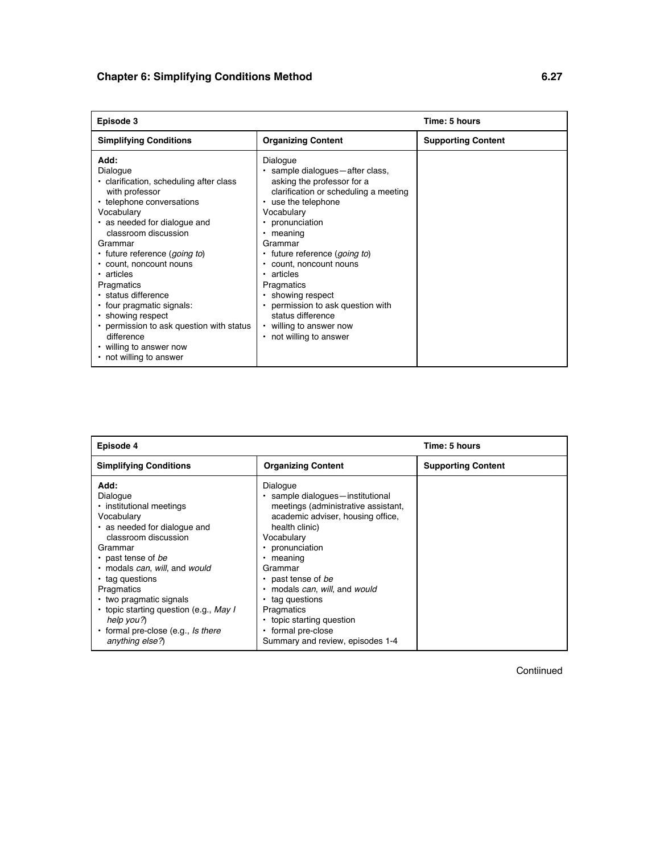| Episode 3                                                                                                                                                                                                                                                                                                                                                                                                                                                                    |                                                                                                                                                                                                                                                                                                                                                                                                                                                                    | Time: 5 hours             |
|------------------------------------------------------------------------------------------------------------------------------------------------------------------------------------------------------------------------------------------------------------------------------------------------------------------------------------------------------------------------------------------------------------------------------------------------------------------------------|--------------------------------------------------------------------------------------------------------------------------------------------------------------------------------------------------------------------------------------------------------------------------------------------------------------------------------------------------------------------------------------------------------------------------------------------------------------------|---------------------------|
| <b>Simplifying Conditions</b>                                                                                                                                                                                                                                                                                                                                                                                                                                                | <b>Organizing Content</b>                                                                                                                                                                                                                                                                                                                                                                                                                                          | <b>Supporting Content</b> |
| Add:<br>Dialogue<br>• clarification, scheduling after class<br>with professor<br>• telephone conversations<br>Vocabulary<br>• as needed for dialogue and<br>classroom discussion<br>Grammar<br>· future reference (going to)<br>• count, noncount nouns<br>• articles<br>Pragmatics<br>· status difference<br>• four pragmatic signals:<br>• showing respect<br>• permission to ask question with status<br>difference<br>• willing to answer now<br>• not willing to answer | Dialogue<br>· sample dialogues - after class,<br>asking the professor for a<br>clarification or scheduling a meeting<br>• use the telephone<br>Vocabulary<br>pronunciation<br>$\bullet$<br>• meaning<br>Grammar<br>· future reference (going to)<br>• count, noncount nouns<br>• articles<br>Pragmatics<br>• showing respect<br>permission to ask question with<br>$\bullet$<br>status difference<br>• willing to answer now<br>not willing to answer<br>$\bullet$ |                           |

| Episode 4                                                                                                                                                                                                                                                                                                                                                                |                                                                                                                                                                                                                                                                                                                                                                                                | Time: 5 hours             |
|--------------------------------------------------------------------------------------------------------------------------------------------------------------------------------------------------------------------------------------------------------------------------------------------------------------------------------------------------------------------------|------------------------------------------------------------------------------------------------------------------------------------------------------------------------------------------------------------------------------------------------------------------------------------------------------------------------------------------------------------------------------------------------|---------------------------|
| <b>Simplifying Conditions</b>                                                                                                                                                                                                                                                                                                                                            | <b>Organizing Content</b>                                                                                                                                                                                                                                                                                                                                                                      | <b>Supporting Content</b> |
| Add:<br>Dialogue<br>· institutional meetings<br>Vocabulary<br>• as needed for dialogue and<br>classroom discussion<br>Grammar<br>• past tense of be<br>· modals can, will, and would<br>• tag questions<br>Pragmatics<br>• two pragmatic signals<br>• topic starting question (e.g., May I<br>help you?)<br>• formal pre-close (e.g., <i>ls there</i><br>anything else?) | Dialogue<br>· sample dialoques-institutional<br>meetings (administrative assistant,<br>academic adviser, housing office,<br>health clinic)<br>Vocabulary<br>pronunciation<br>meaning<br>٠<br>Grammar<br>• past tense of be<br>modals can, will, and would<br>$\bullet$<br>• tag questions<br>Pragmatics<br>• topic starting question<br>• formal pre-close<br>Summary and review, episodes 1-4 |                           |

Contiinued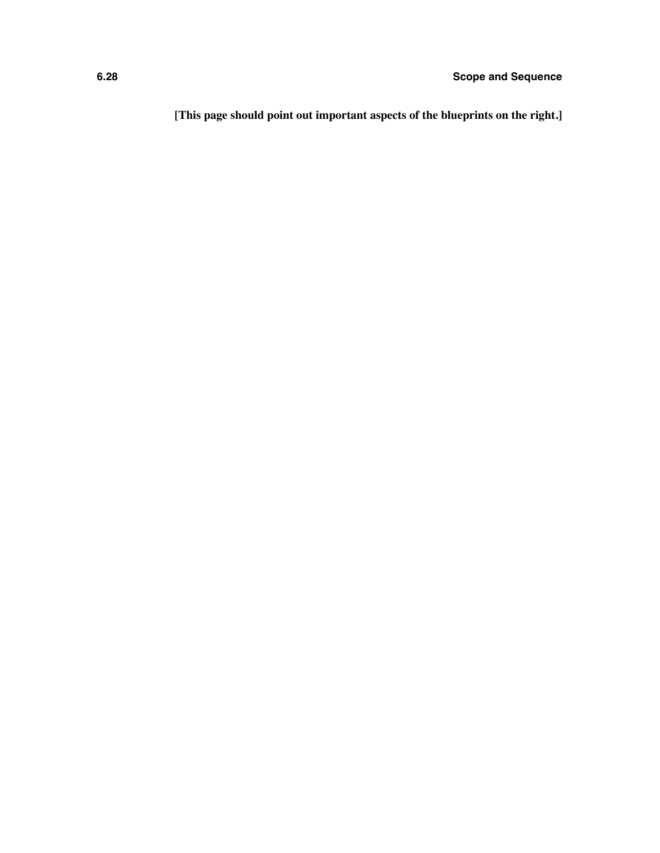**[This page should point out important aspects of the blueprints on the right.]**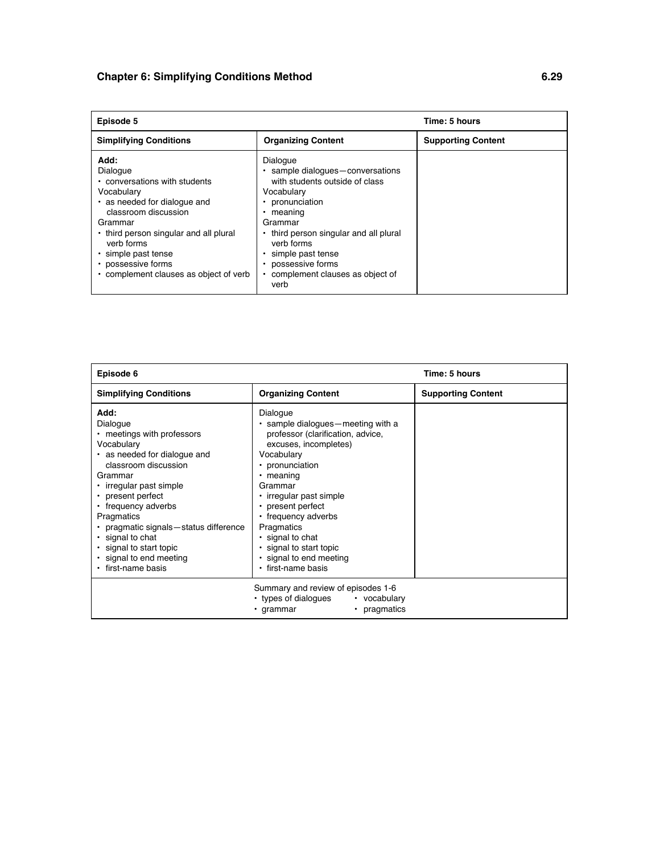| Episode 5                                                                                                                                                                                                                                                                   |                                                                                                                                                                                                                                                                                              | Time: 5 hours             |
|-----------------------------------------------------------------------------------------------------------------------------------------------------------------------------------------------------------------------------------------------------------------------------|----------------------------------------------------------------------------------------------------------------------------------------------------------------------------------------------------------------------------------------------------------------------------------------------|---------------------------|
| <b>Simplifying Conditions</b>                                                                                                                                                                                                                                               | <b>Organizing Content</b>                                                                                                                                                                                                                                                                    | <b>Supporting Content</b> |
| Add:<br>Dialogue<br>• conversations with students<br>Vocabulary<br>• as needed for dialogue and<br>classroom discussion<br>Grammar<br>• third person singular and all plural<br>verb forms<br>simple past tense<br>possessive forms<br>complement clauses as object of verb | Dialogue<br>· sample dialogues-conversations<br>with students outside of class<br>Vocabulary<br>pronunciation<br>meaning<br>Grammar<br>• third person singular and all plural<br>verb forms<br>simple past tense<br>possessive forms<br>complement clauses as object of<br>$\bullet$<br>verb |                           |

| Episode 6                                                                                                                                                                                                                                                                                                                                                       |                                                                                                                                                                                                                                                                                                                                                                         | Time: 5 hours             |
|-----------------------------------------------------------------------------------------------------------------------------------------------------------------------------------------------------------------------------------------------------------------------------------------------------------------------------------------------------------------|-------------------------------------------------------------------------------------------------------------------------------------------------------------------------------------------------------------------------------------------------------------------------------------------------------------------------------------------------------------------------|---------------------------|
| <b>Simplifying Conditions</b>                                                                                                                                                                                                                                                                                                                                   | <b>Organizing Content</b>                                                                                                                                                                                                                                                                                                                                               | <b>Supporting Content</b> |
| Add:<br>Dialogue<br>• meetings with professors<br>Vocabulary<br>• as needed for dialogue and<br>classroom discussion<br>Grammar<br>• irregular past simple<br>• present perfect<br>• frequency adverbs<br>Pragmatics<br>• pragmatic signals - status difference<br>• signal to chat<br>· signal to start topic<br>· signal to end meeting<br>· first-name basis | Dialogue<br>• sample dialogues – meeting with a<br>professor (clarification, advice,<br>excuses, incompletes)<br>Vocabulary<br>• pronunciation<br>$\cdot$ meaning<br>Grammar<br>• irregular past simple<br>• present perfect<br>• frequency adverbs<br>Pragmatics<br>$\cdot$ signal to chat<br>· signal to start topic<br>· signal to end meeting<br>• first-name basis |                           |
|                                                                                                                                                                                                                                                                                                                                                                 | Summary and review of episodes 1-6<br>• types of dialogues<br>• vocabulary<br>• pragmatics<br>• grammar                                                                                                                                                                                                                                                                 |                           |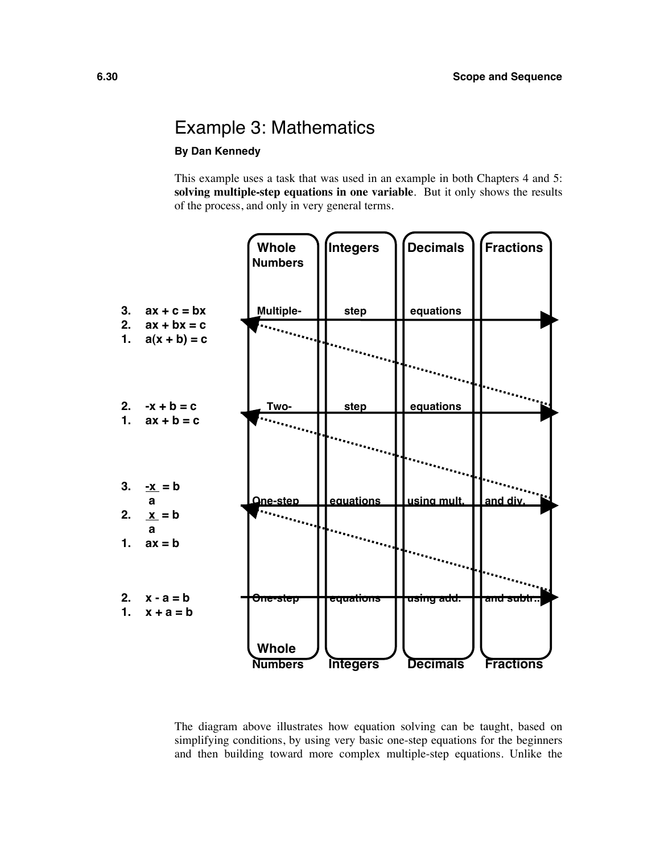### Example 3: Mathematics

#### **By Dan Kennedy**

This example uses a task that was used in an example in both Chapters 4 and 5: **solving multiple-step equations in one variable**. But it only shows the results of the process, and only in very general terms.



The diagram above illustrates how equation solving can be taught, based on simplifying conditions, by using very basic one-step equations for the beginners and then building toward more complex multiple-step equations. Unlike the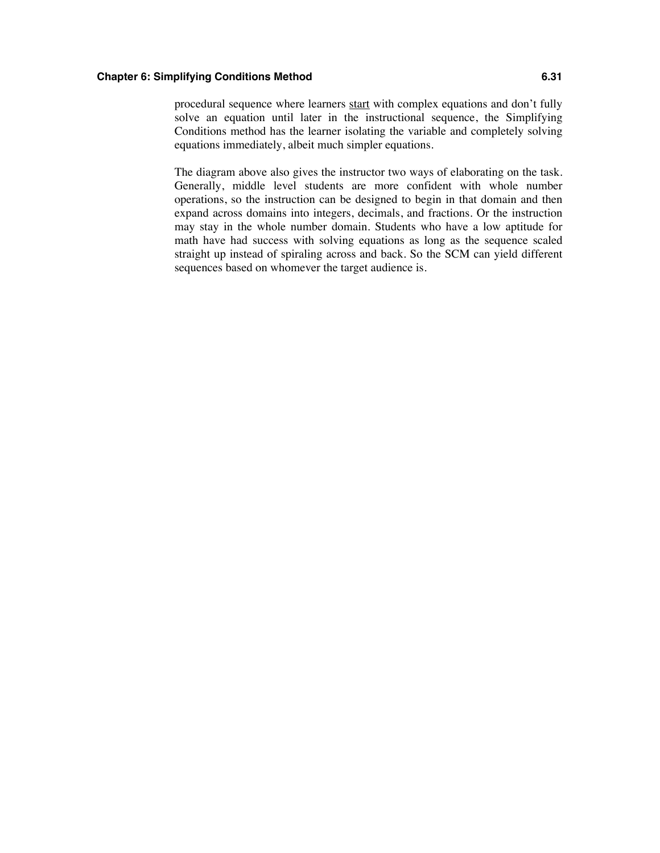procedural sequence where learners start with complex equations and don't fully solve an equation until later in the instructional sequence, the Simplifying Conditions method has the learner isolating the variable and completely solving equations immediately, albeit much simpler equations.

The diagram above also gives the instructor two ways of elaborating on the task. Generally, middle level students are more confident with whole number operations, so the instruction can be designed to begin in that domain and then expand across domains into integers, decimals, and fractions. Or the instruction may stay in the whole number domain. Students who have a low aptitude for math have had success with solving equations as long as the sequence scaled straight up instead of spiraling across and back. So the SCM can yield different sequences based on whomever the target audience is.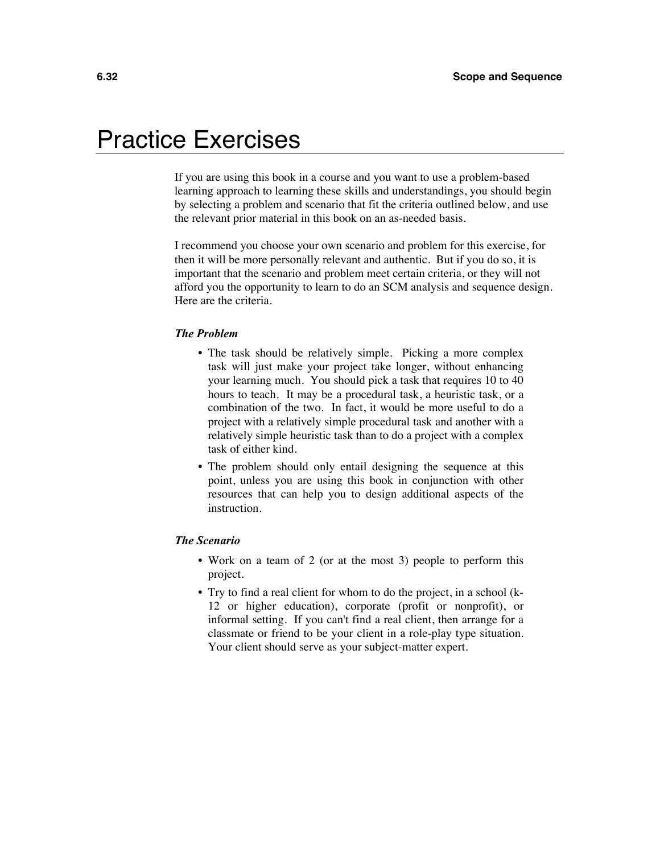# Practice Exercises

If you are using this book in a course and you want to use a problem-based learning approach to learning these skills and understandings, you should begin by selecting a problem and scenario that fit the criteria outlined below, and use the relevant prior material in this book on an as-needed basis.

I recommend you choose your own scenario and problem for this exercise, for then it will be more personally relevant and authentic. But if you do so, it is important that the scenario and problem meet certain criteria, or they will not afford you the opportunity to learn to do an SCM analysis and sequence design. Here are the criteria.

#### *The Problem*

- The task should be relatively simple. Picking a more complex task will just make your project take longer, without enhancing your learning much. You should pick a task that requires 10 to 40 hours to teach. It may be a procedural task, a heuristic task, or a combination of the two. In fact, it would be more useful to do a project with a relatively simple procedural task and another with a relatively simple heuristic task than to do a project with a complex task of either kind.
- The problem should only entail designing the sequence at this point, unless you are using this book in conjunction with other resources that can help you to design additional aspects of the instruction.

#### *The Scenario*

- Work on a team of 2 (or at the most 3) people to perform this project.
- Try to find a real client for whom to do the project, in a school (k-12 or higher education), corporate (profit or nonprofit), or informal setting. If you can't find a real client, then arrange for a classmate or friend to be your client in a role-play type situation. Your client should serve as your subject-matter expert.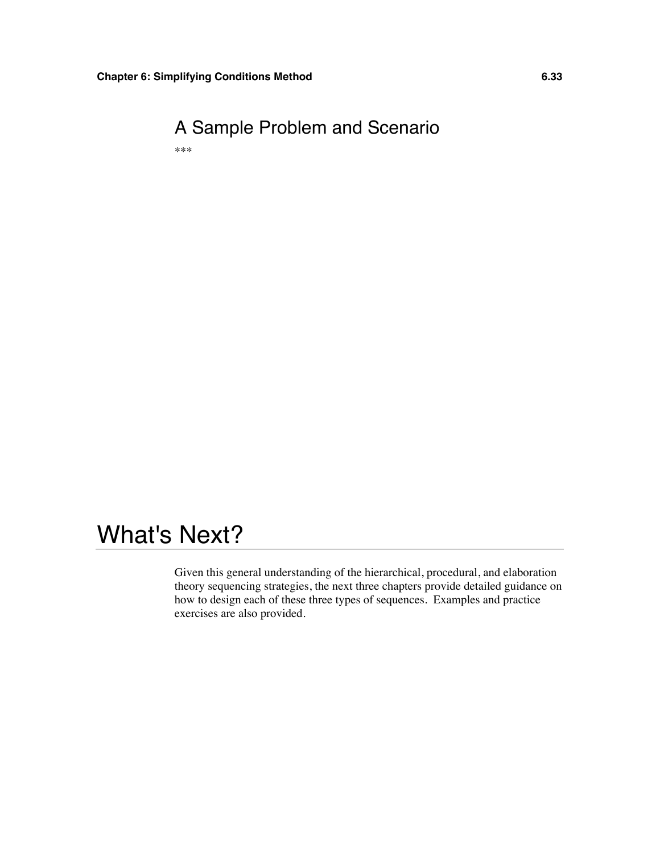

# What's Next?

Given this general understanding of the hierarchical, procedural, and elaboration theory sequencing strategies, the next three chapters provide detailed guidance on how to design each of these three types of sequences. Examples and practice exercises are also provided.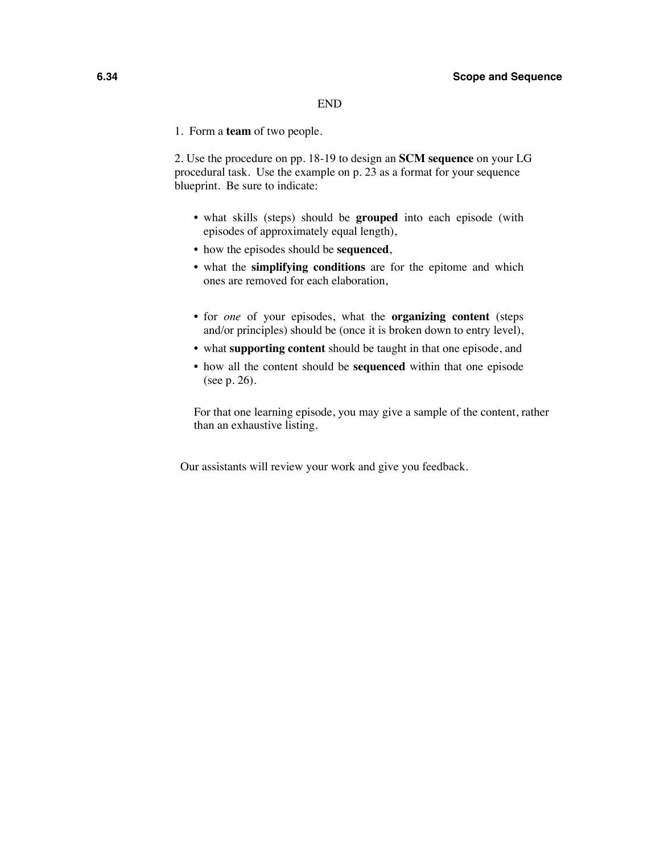#### END

1. Form a **team** of two people.

2. Use the procedure on pp. 18-19 to design an **SCM sequence** on your LG procedural task. Use the example on p. 23 as a format for your sequence blueprint. Be sure to indicate:

- what skills (steps) should be **grouped** into each episode (with episodes of approximately equal length),
- how the episodes should be **sequenced**,
- what the **simplifying conditions** are for the epitome and which ones are removed for each elaboration,
- for *one* of your episodes, what the **organizing content** (steps and/or principles) should be (once it is broken down to entry level),
- what **supporting content** should be taught in that one episode, and
- how all the content should be **sequenced** within that one episode (see p. 26).

For that one learning episode, you may give a sample of the content, rather than an exhaustive listing.

Our assistants will review your work and give you feedback.